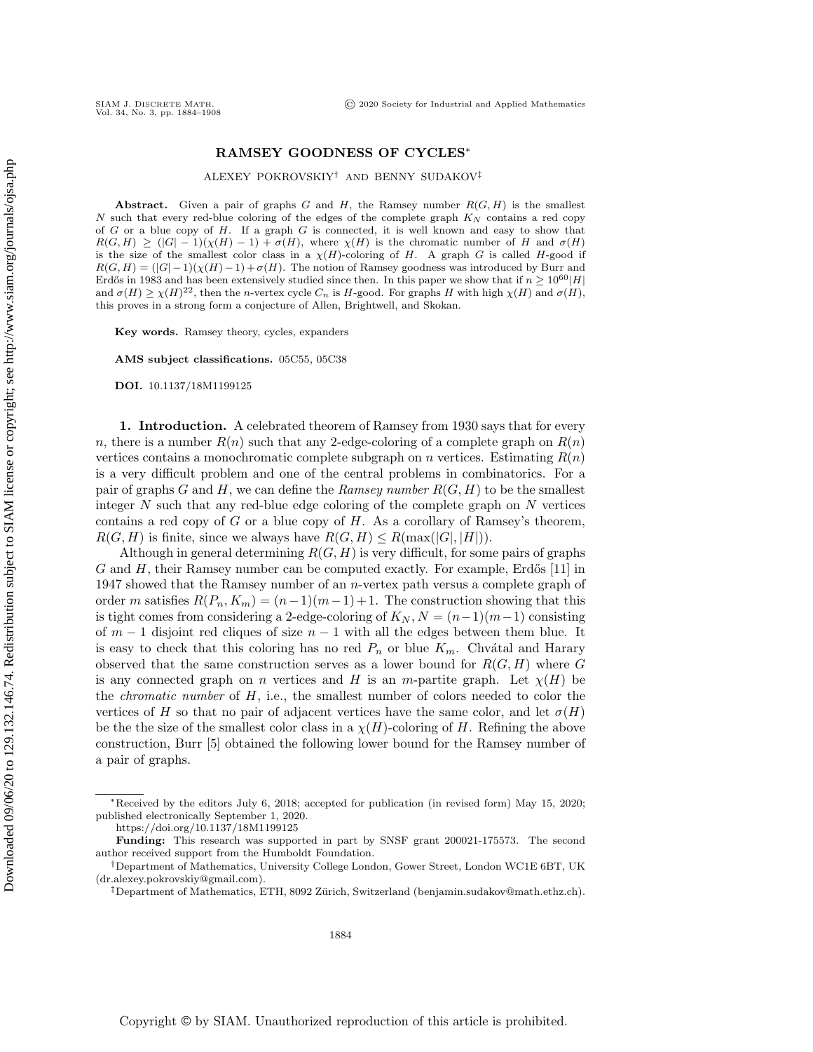## RAMSEY GOODNESS OF CYCLES\*

ALEXEY POKROVSKIY<sup>†</sup> AND BENNY SUDAKOV<sup>‡</sup>

Abstract. Given a pair of graphs  $G$  and  $H$ , the Ramsey number  $R(G, H)$  is the smallest  $N$  such that every red-blue coloring of the edges of the complete graph  $K_N$  contains a red copy of  $G$  or a blue copy of  $H$ . If a graph  $G$  is connected, it is well known and easy to show that  $R(G, H) \geq (|G| - 1)(\chi (H) - 1) + \sigma (H)$ , where  $\chi (H)$  is the chromatic number of H and  $\sigma (H)$ is the size of the smallest color class in a  $\chi (H)$ -coloring of H. A graph G is called H-good if  $R(G, H) = (|G| - 1)(\chi (H) - 1) + \sigma (H)$ . The notion of Ramsey goodness was introduced by Burr and Erd $\delta$  in 1983 and has been extensively studied since then. In this paper we show that if  $n \geq 10^{60} |H|$ and  $\sigma (H) \geq \chi (H)^{22}$ , then the n-vertex cycle  $C_n$  is H-good. For graphs H with high  $\chi (H)$  and  $\sigma (H)$ , this proves in a strong form a conjecture of Allen, Brightwell, and Skokan.

Key words. Ramsey theory, cycles, expanders

AMS subject classifications. 05C55, 05C38

DOI. 10.1137/18M1199125

1. Introduction. A celebrated theorem of Ramsey from 1930 says that for every n, there is a number  $R(n)$  such that any 2-edge-coloring of a complete graph on  $R(n)$ vertices contains a monochromatic complete subgraph on n vertices. Estimating  $R(n)$ is a very difficult problem and one of the central problems in combinatorics. For a pair of graphs G and H, we can define the Ramsey number  $R(G, H)$  to be the smallest integer  $N$  such that any red-blue edge coloring of the complete graph on  $N$  vertices contains a red copy of G or a blue copy of H. As a corollary of Ramsey's theorem,  $R(G, H)$  is finite, since we always have  $R(G, H) \leq R(\max(|G|, |H|)).$ 

Although in general determining  $R(G, H)$  is very difficult, for some pairs of graphs  $G$  and  $H$ , their Ramsey number can be computed exactly. For example, Erdős [\[11\]](#page-24-0) in 1947 showed that the Ramsey number of an n-vertex path versus a complete graph of order m satisfies  $R(P_n, K_m) = (n-1)(m-1)+1$ . The construction showing that this is tight comes from considering a 2-edge-coloring of  $K_N$ ,  $N = (n-1)(m-1)$  consisting of  $m-1$  disjoint red cliques of size  $n-1$  with all the edges between them blue. It is easy to check that this coloring has no red  $P_n$  or blue  $K_m$ . Chvátal and Harary observed that the same construction serves as a lower bound for  $R(G, H)$  where G is any connected graph on n vertices and H is an m-partite graph. Let  $\chi (H)$  be the *chromatic number* of  $H$ , i.e., the smallest number of colors needed to color the vertices of H so that no pair of adjacent vertices have the same color, and let  $\sigma (H)$ be the the size of the smallest color class in a  $\chi (H)$ -coloring of H. Refining the above construction, Burr [\[5\]](#page-24-1) obtained the following lower bound for the Ramsey number of a pair of graphs.

 $*$ Received by the editors July 6, 2018; accepted for publication (in revised form) May 15, 2020; published electronically September 1, 2020.

<https://doi.org/10.1137/18M1199125>

Funding: This research was supported in part by SNSF grant 200021-175573. The second author received support from the Humboldt Foundation.

<sup>&</sup>lt;sup>†</sup>Department of Mathematics, University College London, Gower Street, London WC1E 6BT, UK [\(dr.alexey.pokrovskiy@gmail.com\)](mailto:dr.alexey.pokrovskiy@gmail.com).

 $\ddagger$ Department of Mathematics, ETH, 8092 Zürich, Switzerland [\(benjamin.sudakov@math.ethz.ch\)](mailto:benjamin.sudakov@math.ethz.ch).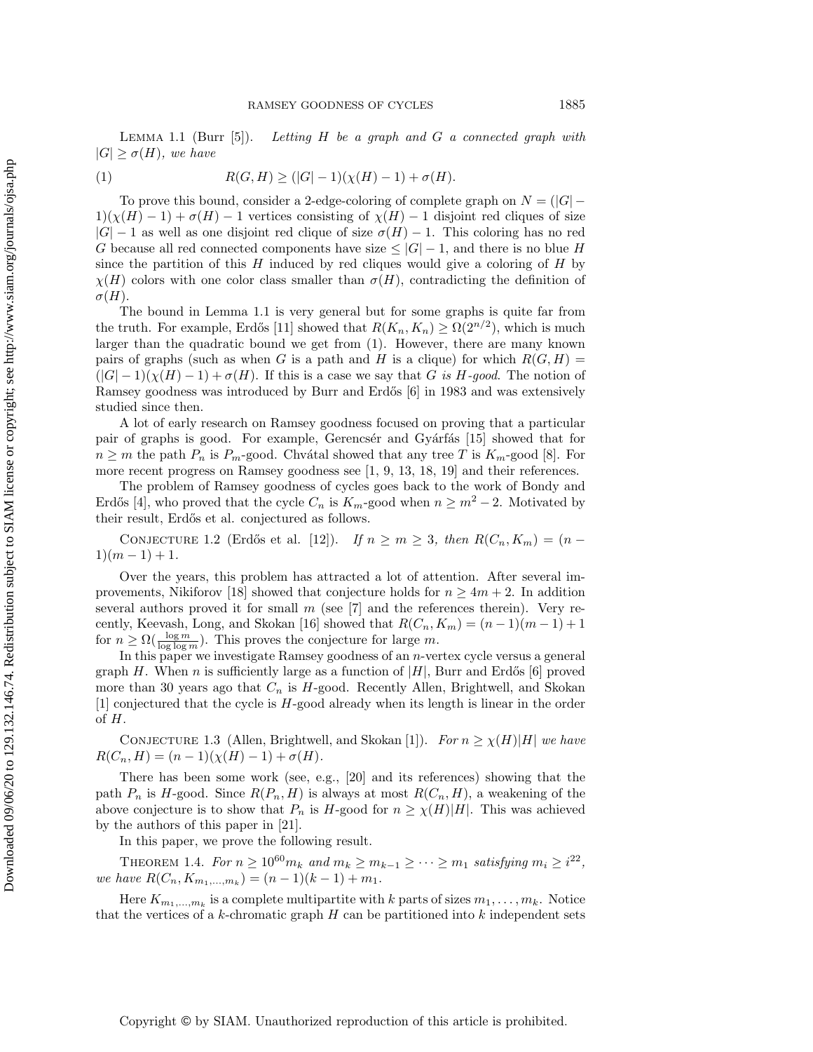<span id="page-1-0"></span>LEMMA 1.1 (Burr  $[5]$ ). Letting H be a graph and G a connected graph with  $|G| \geq \sigma(H)$ , we have

<span id="page-1-1"></span>(1) 
$$
R(G, H) \ge (|G| - 1)(\chi(H) - 1) + \sigma(H).
$$

To prove this bound, consider a 2-edge-coloring of complete graph on  $N = (|G| 1)(\chi (H) - 1) + \sigma (H) - 1$  vertices consisting of  $\chi (H) - 1$  disjoint red cliques of size  $|G| - 1$  as well as one disjoint red clique of size  $\sigma (H) - 1$ . This coloring has no red G because all red connected components have size  $\leq |G| - 1$ , and there is no blue H since the partition of this  $H$  induced by red cliques would give a coloring of  $H$  by  $\chi (H)$  colors with one color class smaller than  $\sigma (H)$ , contradicting the definition of  $\sigma (H).$ 

The bound in Lemma [1.1](#page-1-0) is very general but for some graphs is quite far from the truth. For example, Erdős [\[11\]](#page-24-0) showed that  $R(K_n, K_n) \geq \Omega (2^{n/2})$ , which is much larger than the quadratic bound we get from [\(1\)](#page-1-1). However, there are many known pairs of graphs (such as when G is a path and H is a clique) for which  $R(G, H)$  =  $(|G| - 1)(\chi (H) - 1) + \sigma (H)$ . If this is a case we say that G is H-good. The notion of Ramsey goodness was introduced by Burr and Erd $\delta$ s [\[6\]](#page-24-2) in 1983 and was extensively studied since then.

A lot of early research on Ramsey goodness focused on proving that a particular pair of graphs is good. For example, Gerencsér and Gyárfás [\[15\]](#page-24-3) showed that for  $n \geq m$  the path  $P_n$  is  $P_m$ -good. Chvátal showed that any tree T is  $K_m$ -good [\[8\]](#page-24-4). For more recent progress on Ramsey goodness see [\[1,](#page-23-0) [9,](#page-24-5) [13,](#page-24-6) [18,](#page-24-7) [19\]](#page-24-8) and their references.

The problem of Ramsey goodness of cycles goes back to the work of Bondy and Erdős [\[4\]](#page-24-9), who proved that the cycle  $C_n$  is  $K_m$ -good when  $n \geq m^2 - 2$ . Motivated by their result, Erdős et al. conjectured as follows.

<span id="page-1-4"></span>CONJECTURE 1.2 (Erdős et al. [\[12\]](#page-24-10)). If  $n \geq m \geq 3$ , then  $R(C_n, K_m) = (n 1)(m-1)+1.$ 

Over the years, this problem has attracted a lot of attention. After several im-provements, Nikiforov [\[18\]](#page-24-7) showed that conjecture holds for  $n \geq 4m + 2$ . In addition several authors proved it for small  $m$  (see [\[7\]](#page-24-11) and the references therein). Very re-cently, Keevash, Long, and Skokan [\[16\]](#page-24-12) showed that  $R(C_n, K_m) = (n-1)(m-1) + 1$ for  $n \geq \Omega(\frac{\log m}{\log \log m})$ . This proves the conjecture for large m.

In this paper we investigate Ramsey goodness of an  $n$ -vertex cycle versus a general graph H. When n is sufficiently large as a function of  $|H|$ , Burr and Erdős [\[6\]](#page-24-2) proved more than 30 years ago that  $C_n$  is H-good. Recently Allen, Brightwell, and Skokan [\[1\]](#page-23-0) conjectured that the cycle is H-good already when its length is linear in the order of H.

<span id="page-1-3"></span>CONJECTURE 1.3 (Allen, Brightwell, and Skokan [\[1\]](#page-23-0)). For  $n \geq \chi(H)| H|$  we have  $R(C_n, H) = (n - 1)(\chi (H) - 1) + \sigma (H).$ 

There has been some work (see, e.g., [\[20\]](#page-24-13) and its references) showing that the path  $P_n$  is H-good. Since  $R(P_n, H)$  is always at most  $R(C_n, H)$ , a weakening of the above conjecture is to show that  $P_n$  is H-good for  $n \geq \chi (H)| H|$ . This was achieved by the authors of this paper in [\[21\]](#page-24-14).

<span id="page-1-2"></span>In this paper, we prove the following result.

THEOREM 1.4. For  $n \geq 10^{60} m_k$  and  $m_k \geq m_{k - 1} \geq \cdots \geq m_1$  satisfying  $m_i \geq i^{22}$ , we have  $R(C_n, K_{m_1,...,m_k}) = (n-1)(k-1) + m_1$ .

Here  $K_{m_1,...,m_k}$  is a complete multipartite with k parts of sizes  $m_1,...,m_k$ . Notice that the vertices of a k-chromatic graph  $H$  can be partitioned into k independent sets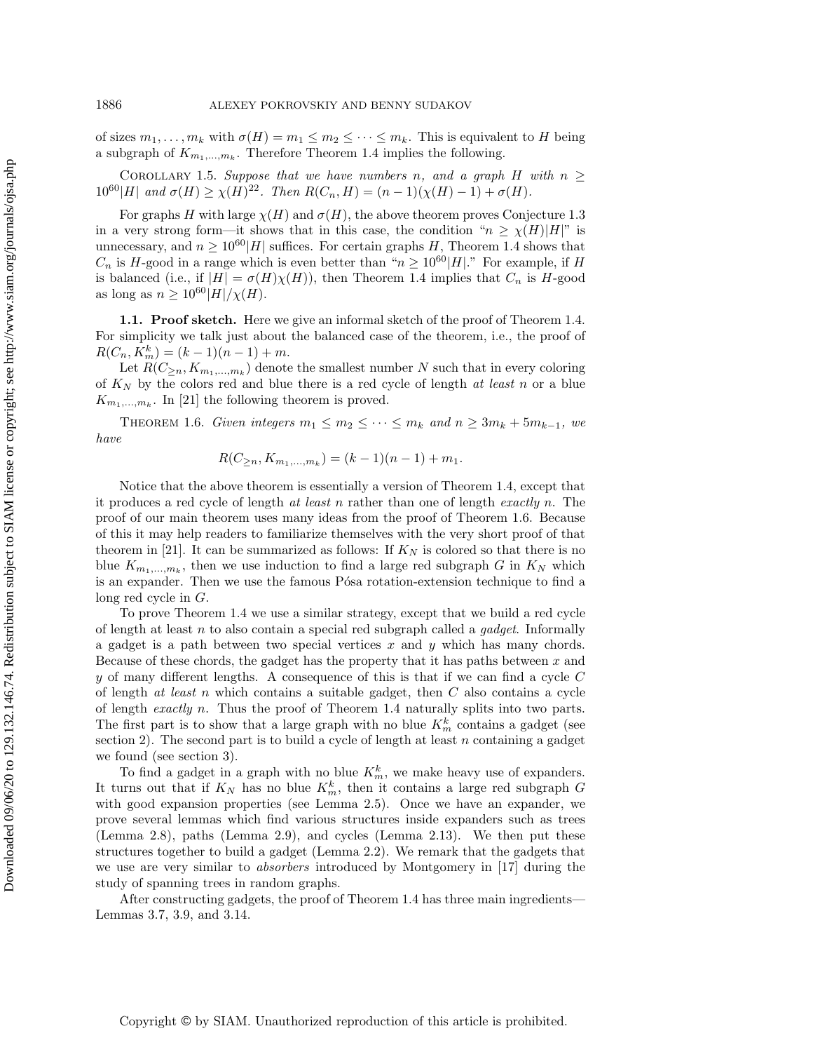of sizes  $m_1, \ldots, m_k$  with  $\sigma (H) = m_1 \leq m_2 \leq \cdots \leq m_k$ . This is equivalent to H being a subgraph of  $K_{m_1,...,m_k}$ . Therefore Theorem [1.4](#page-1-2) implies the following.

COROLLARY 1.5. Suppose that we have numbers n, and a graph H with  $n \geq$  $10^{60} |H|$  and  $\sigma (H) \geq \chi (H)^{22}$ . Then  $R(C_n, H) = (n - 1)(\chi (H) - 1) + \sigma (H)$ .

For graphs H with large  $\chi (H)$  and  $\sigma (H)$ , the above theorem proves Conjecture [1.3](#page-1-3) in a very strong form---it shows that in this case, the condition ``n \geq \chi (H)| H| "" is unnecessary, and  $n \geq 10^{60} |H|$  suffices. For certain graphs H, Theorem [1.4](#page-1-2) shows that  $C_n$  is H-good in a range which is even better than " $n \geq 10^{60} |H|$ ." For example, if H is balanced (i.e., if  $|H| = \sigma (H)\chi (H)$ ), then Theorem [1.4](#page-1-2) implies that  $C_n$  is H-good as long as  $n \geq 10^{60} |H| / \chi (H)$ .

1.1. Proof sketch. Here we give an informal sketch of the proof of Theorem [1.4.](#page-1-2) For simplicity we talk just about the balanced case of the theorem, i.e., the proof of  $R(C_n, K_m^k) = (k-1)(n-1) + m.$ 

Let  $R(C_{\geq n}, K_{m_1,...,m_k})$  denote the smallest number N such that in every coloring of  $K_N$  by the colors red and blue there is a red cycle of length at least n or a blue  $K_{m_1,\ldots,m_k}$ . In [\[21\]](#page-24-14) the following theorem is proved.

THEOREM 1.6. Given integers  $m_1 \leq m_2 \leq \cdots \leq m_k$  and  $n \geq 3m_k + 5m_{k-1}$ , we have

<span id="page-2-0"></span>
$$
R(C_{\geq n}, K_{m_1,\dots,m_k}) = (k-1)(n-1) + m_1.
$$

Notice that the above theorem is essentially a version of Theorem [1.4,](#page-1-2) except that it produces a red cycle of length  $at$  least n rather than one of length exactly n. The proof of our main theorem uses many ideas from the proof of Theorem [1.6.](#page-2-0) Because of this it may help readers to familiarize themselves with the very short proof of that theorem in [\[21\]](#page-24-14). It can be summarized as follows: If  $K_N$  is colored so that there is no blue  $K_{m_1,...,m_k}$ , then we use induction to find a large red subgraph G in  $K_N$  which is an expander. Then we use the famous P<sub>s</sub> rotation-extension technique to find a long red cycle in G.

To prove Theorem [1.4](#page-1-2) we use a similar strategy, except that we build a red cycle of length at least  $n$  to also contain a special red subgraph called a *gadget*. Informally a gadget is a path between two special vertices x and  $y$  which has many chords. Because of these chords, the gadget has the property that it has paths between  $x$  and  $y$  of many different lengths. A consequence of this is that if we can find a cycle  $C$ of length at least n which contains a suitable gadget, then  $C$  also contains a cycle of length exactly n. Thus the proof of Theorem [1.4](#page-1-2) naturally splits into two parts. The first part is to show that a large graph with no blue  $K_m^k$  contains a gadget (see section [2\)](#page-4-0). The second part is to build a cycle of length at least  $n$  containing a gadget we found (see section [3\)](#page-13-0).

To find a gadget in a graph with no blue  $K_m^k$ , we make heavy use of expanders. It turns out that if  $K_N$  has no blue  $K_m^k$ , then it contains a large red subgraph G with good expansion properties (see Lemma [2.5\)](#page-5-0). Once we have an expander, we prove several lemmas which find various structures inside expanders such as trees (Lemma [2.8\)](#page-6-0), paths (Lemma [2.9\)](#page-6-1), and cycles (Lemma [2.13\)](#page-8-0). We then put these structures together to build a gadget (Lemma [2.2\)](#page-4-1). We remark that the gadgets that we use are very similar to absorbers introduced by Montgomery in [\[17\]](#page-24-15) during the study of spanning trees in random graphs.

After constructing gadgets, the proof of Theorem [1.4](#page-1-2) has three main ingredients---Lemmas [3.7,](#page-15-0) [3.9,](#page-17-0) and [3.14.](#page-20-0)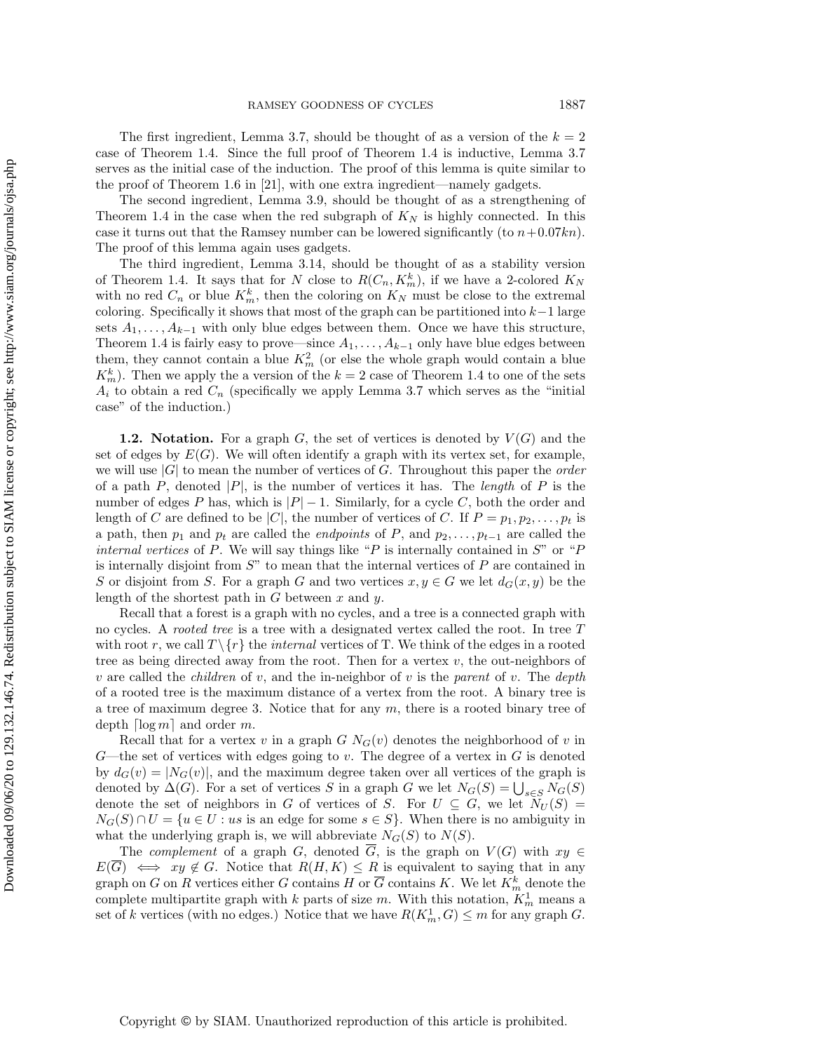The first ingredient, Lemma [3.7,](#page-15-0) should be thought of as a version of the  $k = 2$ case of Theorem [1.4.](#page-1-2) Since the full proof of Theorem [1.4](#page-1-2) is inductive, Lemma [3.7](#page-15-0) serves as the initial case of the induction. The proof of this lemma is quite similar to the proof of Theorem [1.6](#page-2-0) in [\[21\]](#page-24-14), with one extra ingredient—namely gadgets.

The second ingredient, Lemma [3.9,](#page-17-0) should be thought of as a strengthening of Theorem [1.4](#page-1-2) in the case when the red subgraph of  $K_N$  is highly connected. In this case it turns out that the Ramsey number can be lowered significantly (to  $n+0.07kn$ ). The proof of this lemma again uses gadgets.

The third ingredient, Lemma [3.14,](#page-20-0) should be thought of as a stability version of Theorem [1.4.](#page-1-2) It says that for N close to  $R(C_n, K_m^k)$ , if we have a 2-colored  $K_N$ with no red  $C_n$  or blue  $K_m^k$ , then the coloring on  $K_N$  must be close to the extremal coloring. Specifically it shows that most of the graph can be partitioned into  $k-1$  large sets  $A_1, \ldots, A_{k-1}$  with only blue edges between them. Once we have this structure, Theorem [1.4](#page-1-2) is fairly easy to prove—since  $A_1, \ldots, A_{k-1}$  only have blue edges between them, they cannot contain a blue  $K_m^2$  (or else the whole graph would contain a blue  $K_m^k$ ). Then we apply the a version of the  $k = 2$  case of Theorem [1.4](#page-1-2) to one of the sets  $A_i$  to obtain a red  $C_n$  (specifically we apply Lemma [3.7](#page-15-0) which serves as the "initial case" of the induction.)

**1.2.** Notation. For a graph G, the set of vertices is denoted by  $V(G)$  and the set of edges by  $E(G)$ . We will often identify a graph with its vertex set, for example, we will use  $|G|$  to mean the number of vertices of G. Throughout this paper the *order* of a path P, denoted |P|, is the number of vertices it has. The length of P is the number of edges P has, which is  $|P| - 1$ . Similarly, for a cycle C, both the order and length of C are defined to be |C|, the number of vertices of C. If  $P = p_1, p_2, \ldots, p_t$  is a path, then  $p_1$  and  $p_t$  are called the *endpoints* of P, and  $p_2, \ldots, p_{t-1}$  are called the *internal vertices* of P. We will say things like "P is internally contained in  $S$ " or "P is internally disjoint from  $S$ " to mean that the internal vertices of  $P$  are contained in S or disjoint from S. For a graph G and two vertices  $x, y \in G$  we let  $d_G(x, y)$  be the length of the shortest path in  $G$  between  $x$  and  $y$ .

Recall that a forest is a graph with no cycles, and a tree is a connected graph with no cycles. A rooted tree is a tree with a designated vertex called the root. In tree T with root r, we call  $T \setminus \{ r\}$  the *internal* vertices of T. We think of the edges in a rooted tree as being directed away from the root. Then for a vertex  $v$ , the out-neighbors of v are called the *children* of v, and the in-neighbor of v is the parent of v. The depth of a rooted tree is the maximum distance of a vertex from the root. A binary tree is a tree of maximum degree 3. Notice that for any  $m$ , there is a rooted binary tree of depth  $\lceil \log m \rceil$  and order m.

Recall that for a vertex v in a graph  $G N_G(v)$  denotes the neighborhood of v in  $G$ —the set of vertices with edges going to v. The degree of a vertex in  $G$  is denoted by  $d_G(v) = |N_G(v)|$ , and the maximum degree taken over all vertices of the graph is denoted by  $\Delta (G)$ . For a set of vertices S in a graph G we let  $N_G(S) = \bigcup_{s \in S} N_G(S)$ denote the set of neighbors in G of vertices of S. For  $U \subseteq G$ , we let  $\widetilde{N}_U (S) =$  $N_G(S) \cap U = \{ u \in U : us$  is an edge for some  $s \in S\}$ . When there is no ambiguity in what the underlying graph is, we will abbreviate  $N_G(S)$  to  $N(S)$ .

The complement of a graph G, denoted  $\overline{G}$ , is the graph on  $V(G)$  with  $xy \in$  $E(\overline{G}) \iff xy \notin G.$  Notice that  $R(H, K) \leq R$  is equivalent to saying that in any graph on G on R vertices either G contains H or  $\overline{G}$  contains K. We let  $K_m^k$  denote the complete multipartite graph with  $k$  parts of size  $m$ . With this notation,  $K_m^1$  means a set of k vertices (with no edges.) Notice that we have  $R(K_m^1, G) \leq m$  for any graph G.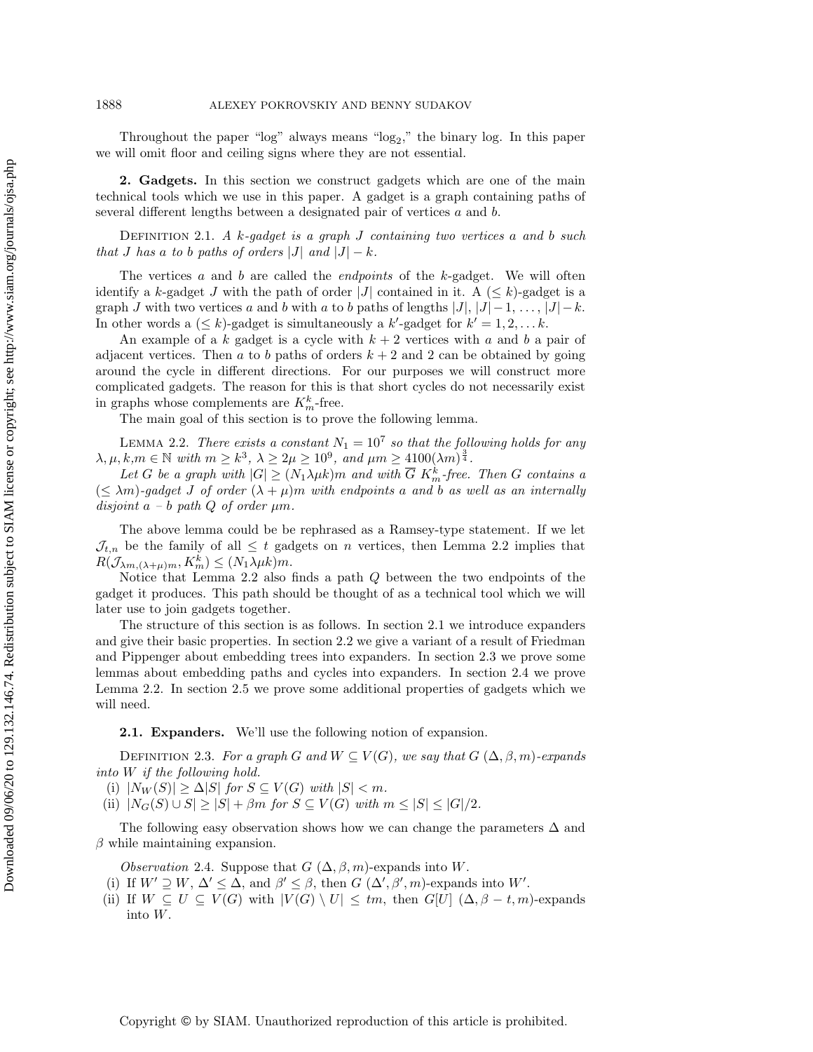Throughout the paper " $log$ " always means " $log_2$ ," the binary log. In this paper we will omit floor and ceiling signs where they are not essential.

<span id="page-4-0"></span>2. Gadgets. In this section we construct gadgets which are one of the main technical tools which we use in this paper. A gadget is a graph containing paths of several different lengths between a designated pair of vertices a and b.

DEFINITION 2.1. A k-gadget is a graph  $J$  containing two vertices a and b such that J has a to b paths of orders |J| and  $|J| - k$ .

The vertices  $a$  and  $b$  are called the *endpoints* of the  $k$ -gadget. We will often identify a k-gadget J with the path of order |J| contained in it. A  $(\leq k)$ -gadget is a graph J with two vertices a and b with a to b paths of lengths  $|J|, |J| - 1, \ldots, |J| - k$ . In other words a  $(\leq k)$ -gadget is simultaneously a k'-gadget for  $k' = 1, 2, \ldots k$ .

An example of a k gadget is a cycle with  $k + 2$  vertices with a and b a pair of adjacent vertices. Then a to b paths of orders  $k + 2$  and 2 can be obtained by going around the cycle in different directions. For our purposes we will construct more complicated gadgets. The reason for this is that short cycles do not necessarily exist in graphs whose complements are  $K_m^k$ -free.

<span id="page-4-1"></span>The main goal of this section is to prove the following lemma.

LEMMA 2.2. There exists a constant  $N_1 = 10^7$  so that the following holds for any  $\lambda, \mu, k,m \in \mathbb N$  with  $m \geq k^3$ ,  $\lambda \geq 2\mu \geq 10^9$ , and  $\mu m \geq 4100(\lambda m)^{\frac{3}{4}}$ .

Let G be a graph with  $|G| \geq (N_1\lambda \mu k)m$  and with  $\overline{G}$  K<sub>m</sub>-free. Then G contains a  $(\leq \lambda m)$ -gadget J of order  $(\lambda + \mu)m$  with endpoints a and b as well as an internally disjoint  $a-b$  path  $Q$  of order  $\mu m$ .

The above lemma could be be rephrased as a Ramsey-type statement. If we let  $\mathcal{J}_{t,n}$  be the family of all  $\leq t$  gadgets on n vertices, then Lemma [2.2](#page-4-1) implies that  $R(\mathcal{J}_{\lambda m, (\lambda +\mu )m}, K^k_m) \leq (N_1\lambda \mu k)m.$ 

Notice that Lemma [2.2](#page-4-1) also finds a path Q between the two endpoints of the gadget it produces. This path should be thought of as a technical tool which we will later use to join gadgets together.

The structure of this section is as follows. In section [2.1](#page-4-2) we introduce expanders and give their basic properties. In section [2.2](#page-6-2) we give a variant of a result of Friedman and Pippenger about embedding trees into expanders. In section [2.3](#page-6-3) we prove some lemmas about embedding paths and cycles into expanders. In section [2.4](#page-8-1) we prove Lemma [2.2.](#page-4-1) In section [2.5](#page-12-0) we prove some additional properties of gadgets which we will need.

<span id="page-4-2"></span>2.1. Expanders. We'll use the following notion of expansion.

DEFINITION 2.3. For a graph G and  $W \subseteq V (G)$ , we say that  $G (\Delta , \beta , m)$ -expands into W if the following hold.

(i)  $|N_W(S)| \geq \Delta |S|$  for  $S \subseteq V (G)$  with  $|S| < m$ .

(ii)  $|N_G(S) \cup S| \geq |S| + \beta m$  for  $S \subseteq V (G)$  with  $m \leq |S| \leq |G| /2$ .

The following easy observation shows how we can change the parameters  $\Delta$  and  $\beta$  while maintaining expansion.

<span id="page-4-3"></span>Observation 2.4. Suppose that  $G(\Delta , \beta , m)$ -expands into W.

- (i) If  $W' \supseteq W$ ,  $\Delta' \leq \Delta$ , and  $\beta' \leq \beta$ , then  $G (\Delta', \beta', m)$ -expands into W'.
- (ii) If  $W \subseteq U \subseteq V (G)$  with  $|V (G) \setminus U| \leq t_m$ , then  $G[U]$  ( $\Delta , \beta t, m$ )-expands into W.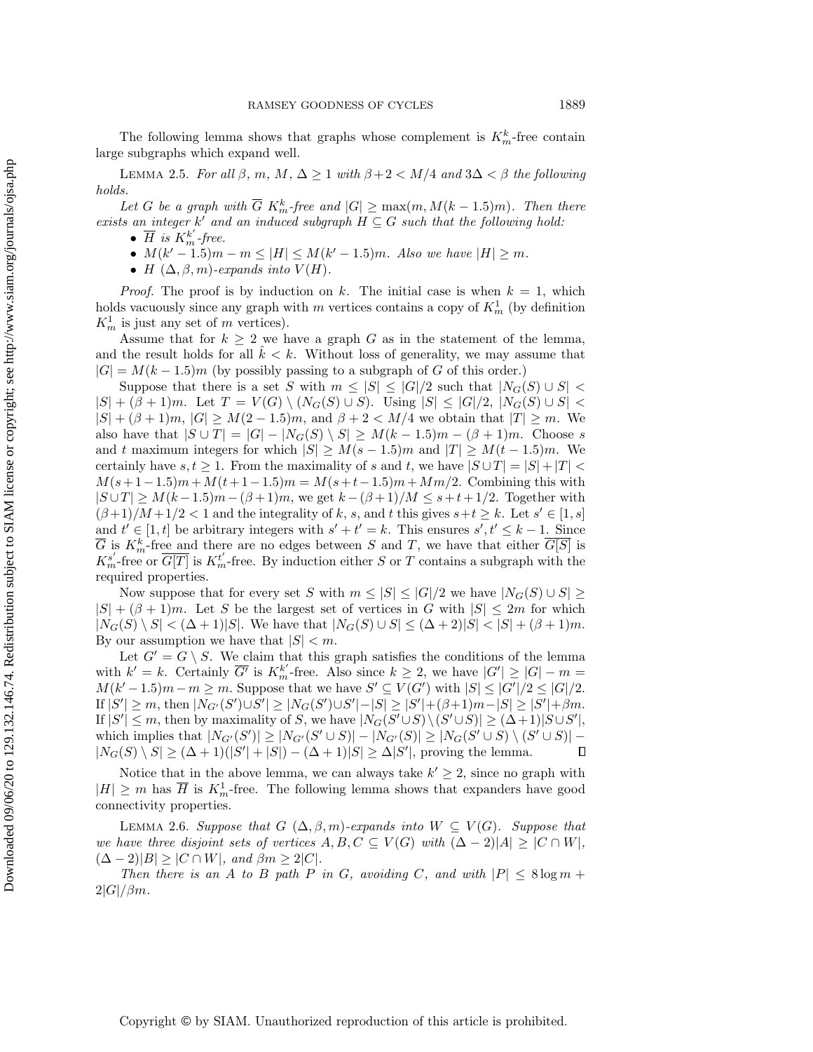The following lemma shows that graphs whose complement is  $K_m^k$ -free contain large subgraphs which expand well.

LEMMA 2.5. For all  $\beta$ ,  $m, M, \Delta \geq 1$  with  $\beta + 2 < M/4$  and  $3\Delta < \beta$  the following holds.

Let G be a graph with  $\overline{G} K_m^k$ -free and  $|G| \geq \max(m, M(k - 1.5)m)$ . Then there exists an integer  $k'$  and an induced subgraph  $H \subseteq G$  such that the following hold:

- <span id="page-5-0"></span> $\bullet$   $\overline{H}$  is  $K_m^{k'}$ -free.
- $\bullet$   $M(k'-1.5)m m \leq |H| \leq M(k'-1.5)m$ . Also we have  $|H| \geq m$ .
- $\bullet$  H  $(\Delta , \beta , m)$ -expands into  $V (H)$ .

*Proof.* The proof is by induction on k. The initial case is when  $k = 1$ , which holds vacuously since any graph with m vertices contains a copy of  $K_m^1$  (by definition  $K_m^1$  is just any set of m vertices).

Assume that for  $k \geq 2$  we have a graph G as in the statement of the lemma, and the result holds for all  $\hat{k} < k$ . Without loss of generality, we may assume that  $|G| = M(k-1.5)m$  (by possibly passing to a subgraph of G of this order.)

Suppose that there is a set S with  $m \leq |S| \leq |G| / 2$  such that  $| N_G(S) \cup S |$  $|S| + (\beta + 1)m$ . Let  $T = V(G) \setminus (N_G(S) \cup S)$ . Using  $|S| \leq |G| /2$ ,  $|N_G(S) \cup S|$  <  $|S| + (\beta + 1)m$ ,  $|G| \geq M(2 - 1.5)m$ , and  $\beta + 2 < M/4$  we obtain that  $|T| \geq m$ . We also have that  $|S \cup T| = |G| - |N_G(S) \setminus S| \geq M(k - 1.5)m - (\beta + 1)m$ . Choose s and t maximum integers for which  $|S| \geq M(s - 1.5)m$  and  $|T| \geq M(t - 1.5)m$ . We certainly have  $s, t \geq 1$ . From the maximality of s and t, we have  $|S \cup T| = |S| + |T|$  $M(s+1-1.5)m+M(t+1-1.5)m=M(s+t-1.5)m+Mm/2.$  Combining this with  $|S \cup T| \geq M(k - 1.5)m - (\beta + 1)m$ , we get  $k - (\beta + 1)/M \leq s+t+1/2$ . Together with  $(\beta +1)/M +1/2 < 1$  and the integrality of k, s, and t this gives  $s+t \geq k$ . Let  $s' \in [1, s]$ and  $t' \in [1, t]$  be arbitrary integers with  $s' + t' = k$ . This ensures  $s', t' \leq k - 1$ . Since  $\overline{G}$  is  $K_m^k$ -free and there are no edges between S and T, we have that either  $\overline{G[S]}$  is  $K_m^{s'}$ -free or  $\overline{G[T]}$  is  $K_m^{t'}$ -free. By induction either S or T contains a subgraph with the required properties.

Now suppose that for every set S with  $m \leq |S| \leq |G| / 2$  we have  $| N_G(S) \cup S | \geq$  $|S| + (\beta + 1)m$ . Let S be the largest set of vertices in G with  $|S| \leq 2m$  for which  $|N_G(S) \setminus S| < (\Delta + 1)|S|$ . We have that  $|N_G(S) \cup S| \leq (\Delta + 2)|S| < |S| + (\beta + 1)m$ . By our assumption we have that  $|S| < m$ .

Let  $G' = G \setminus S$ . We claim that this graph satisfies the conditions of the lemma with  $k' = k$ . Certainly  $\overline{G'}$  is  $K_m^{k'}$ -free. Also since  $k \geq 2$ , we have  $|G'| \geq |G| - m =$  $M(k'-1.5)m - m \geq m$ . Suppose that we have  $S' \subseteq V (G')$  with  $|S| \leq |G'|/2 \leq |G|/2$ . If  $|S'| \geq m$ , then  $|N_{G'}(S') \cup S'| \geq |N_G(S') \cup S'| - |S| \geq |S'| + (\beta + 1)m - |S| \geq |S'| + \beta m$ . If  $|S'| \leq m$ , then by maximality of S, we have  $|N_G(S' \cup S) \setminus (S' \cup S)| \geq (\Delta + 1)|S \cup S'|$ , which implies that  $|N_{G'}(S')| \geq |N_{G'}(S' \cup S)| - |N_{G'}(S)| \geq |N_G(S' \cup S) \setminus (S' \cup S)|$  - $|N_G(S) \setminus S| \geq (\Delta + 1)(|S'| + |S|) - (\Delta + 1)|S| \geq \Delta |S'|$ , proving the lemma.  $\Box$ 

Notice that in the above lemma, we can always take  $k' \geq 2$ , since no graph with  $|H| \geq m$  has  $\overline{H}$  is  $K_m^1$ -free. The following lemma shows that expanders have good connectivity properties.

<span id="page-5-1"></span>LEMMA 2.6. Suppose that  $G$   $(\Delta , \beta , m)$ -expands into  $W \subseteq V (G)$ . Suppose that we have three disjoint sets of vertices  $A, B, C \subseteq V (G)$  with  $(\Delta - 2)|A| \geq |C \cap W|$ ,  $(\Delta - 2)|B| > |C \cap W|$ , and  $\beta m > 2|C|$ .

Then there is an A to B path P in G, avoiding C, and with  $|P| \leq 8 \log m +$  $2|G|/\beta m$ .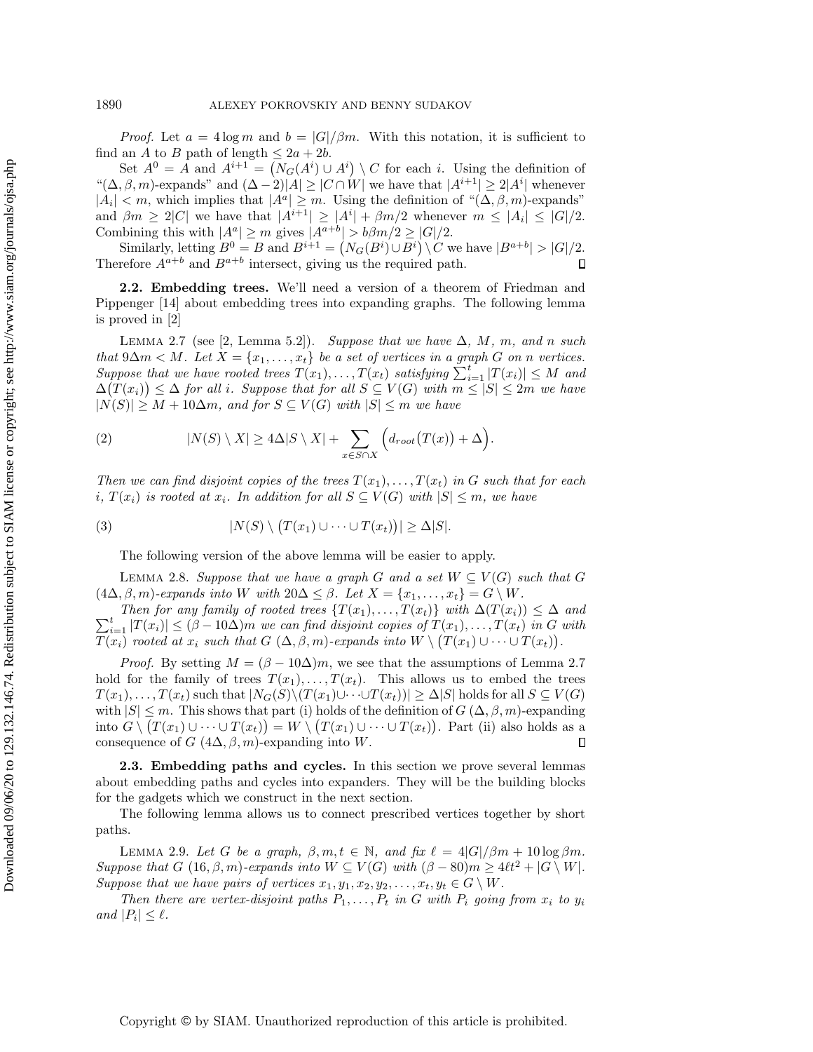*Proof.* Let  $a = 4 \log m$  and  $b = |G|/\beta m$ . With this notation, it is sufficient to find an A to B path of length  $\leq 2a + 2b$ .

Set  $A^0 = A$  and  $A^{i+1} = (N_G(A^i) \cup A^i) \setminus C$  for each i. Using the definition of " $(\Delta , \beta , m)$ -expands" and  $(\Delta - 2)|A| \geq |C \cap W|$  we have that  $|A^{i+1}| \geq 2|A^i|$  whenever  $|A_i| < m$ , which implies that  $|A^a| \geq m$ . Using the definition of " $(\Delta, \beta, m)$ -expands" and  $\beta m \geq 2|C|$  we have that  $|A^{i+1}| \geq |A^i| + \beta m/2$  whenever  $m \leq |A_i| \leq |G|/2$ . Combining this with  $|A^a| \geq m$  gives  $|A^{a+b}| > b\beta m/2 \geq |G|/2$ .

Similarly, letting  $B^0 = B$  and  $B^{i+1} = (N_G(B^i) \cup B^i) \setminus C$  we have  $|B^{a+b}| > |G|/2$ . Therefore  $A^{a+b}$  and  $B^{a+b}$  intersect, giving us the required path.  $\Box$ 

<span id="page-6-4"></span><span id="page-6-2"></span>2.2. Embedding trees. We'll need a version of a theorem of Friedman and Pippenger [\[14\]](#page-24-16) about embedding trees into expanding graphs. The following lemma is proved in [\[2\]](#page-23-1)

LEMMA 2.7 (see [\[2,](#page-23-1) Lemma 5.2]). Suppose that we have  $\Delta$ , M, m, and n such that  $9\Delta m < M$ . Let  $X = \{ x_1, \ldots, x_t \}$  be a set of vertices in a graph G on n vertices. Suppose that we have rooted trees  $T(x_1), \ldots, T(x_t)$  satisfying  $\sum_{i=1}^{t} |T(x_i)| \leq M$  and  $\Delta(T(x_i)) \leq \Delta$  for all i. Suppose that for all  $S \subseteq V (G)$  with  $m \leq |S| \leq 2m$  we have  $|N(S)| \geq M + 10\Delta m$ , and for  $S \subseteq V (G)$  with  $|S| \leq m$  we have

(2) 
$$
|N(S) \setminus X| \ge 4\Delta|S \setminus X| + \sum_{x \in S \cap X} \Big( d_{root}(T(x)) + \Delta \Big).
$$

Then we can find disjoint copies of the trees  $T(x_1), \ldots, T(x_t)$  in G such that for each i,  $T(x_i)$  is rooted at  $x_i$ . In addition for all  $S \subseteq V (G)$  with  $|S| \leq m$ , we have

(3) 
$$
|N(S) \setminus (T(x_1) \cup \cdots \cup T(x_t))| \geq \Delta |S|.
$$

<span id="page-6-0"></span>The following version of the above lemma will be easier to apply.

LEMMA 2.8. Suppose that we have a graph G and a set  $W \subseteq V (G)$  such that G  $(4\Delta , \beta , m)$ -expands into W with  $20\Delta \leq \beta$ . Let  $X = \{ x_1, \ldots , x_t\} = G \setminus W$ .

 $\sum_{i=1}^t |T(x_i)| \leq (\beta - 10\Delta)m$  we can find disjoint copies of  $T(x_1), \ldots, T(x_t)$  in G with Then for any family of rooted trees  $\{ T(x_1), \ldots, T(x_t)\}$  with  $\Delta (T(x_i)) \leq \Delta$  and  $T(x_i)$  rooted at  $x_i$  such that  $G(\Delta , \beta , m)$ -expands into  $W \setminus (T(x_1) \cup \cdots \cup T(x_t)).$ 

*Proof.* By setting  $M = (\beta - 10\Delta)m$ , we see that the assumptions of Lemma [2.7](#page-6-4) hold for the family of trees  $T(x_1), \ldots, T(x_t)$ . This allows us to embed the trees  $T(x_1), \ldots, T(x_t)$  such that  $|N_G(S) \setminus (T(x_1) \cup \cdots \cup T(x_t))| \geq \Delta |S|$  holds for all  $S \subseteq V (G)$ with  $|S| \leq m$ . This shows that part (i) holds of the definition of  $G (\Delta , \beta , m)$ -expanding into  $G \setminus (T(x_1) \cup \cdots \cup T(x_t)) = W \setminus (T(x_1) \cup \cdots \cup T(x_t))$ . Part (ii) also holds as a consequence of  $G$   $(4\Delta, \beta, m)$ -expanding into W.  $\Box$ 

<span id="page-6-3"></span>2.3. Embedding paths and cycles. In this section we prove several lemmas about embedding paths and cycles into expanders. They will be the building blocks for the gadgets which we construct in the next section.

<span id="page-6-1"></span>The following lemma allows us to connect prescribed vertices together by short paths.

LEMMA 2.9. Let G be a graph,  $\beta, m, t \in \Bbb N$ , and fix  $\ell = 4| G| / \beta m + 10 \log \beta m$ . Suppose that G  $(16, \beta, m)$ -expands into  $W \subseteq V (G)$  with  $(\beta - 80)m \geq 4\ell t^2 + |G \setminus W|$ . Suppose that we have pairs of vertices  $x_1, y_1, x_2, y_2, \ldots, x_t, y_t \in G \setminus W$ .

Then there are vertex-disjoint paths  $P_1, \ldots, P_t$  in G with  $P_i$  going from  $x_i$  to  $y_i$ and  $|P_i| \leq \ell$ .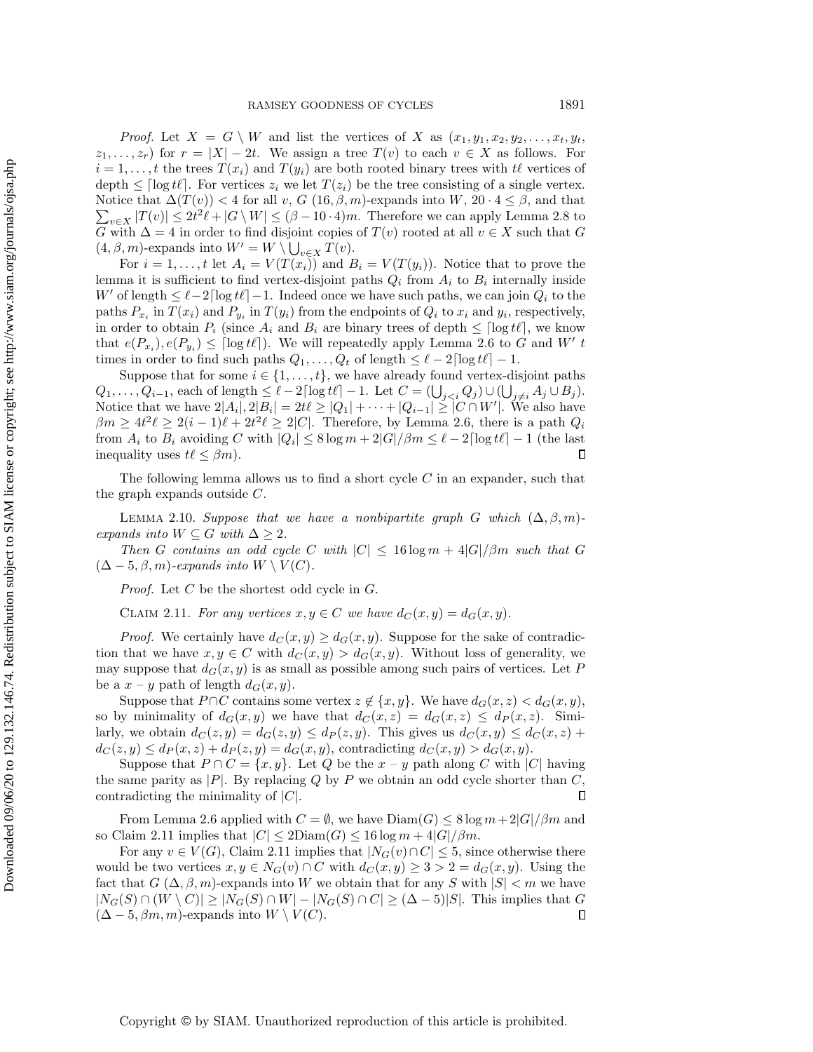*Proof.* Let  $X = G \setminus W$  and list the vertices of X as  $(x_1, y_1, x_2, y_2, \ldots, x_t, y_t$ ,  $z_1, \ldots, z_r$  for  $r = |X| - 2t$ . We assign a tree  $T(v)$  to each  $v \in X$  as follows. For  $i = 1, \ldots, t$  the trees  $T(x_i)$  and  $T(y_i)$  are both rooted binary trees with  $t\ell$  vertices of depth  $\leq \left| \log t\right|$ . For vertices  $z_i$  we let  $T(z_i)$  be the tree consisting of a single vertex.  $\sum_{v \in X} |T(v)| \leq 2t^2 \ell + |G \setminus W| \leq (\beta - 10 \cdot 4)m$ . Therefore we can apply Lemma [2.8](#page-6-0) to Notice that  $\Delta (T(v)) < 4$  for all v, G  $(16, \beta, m)$ -expands into W,  $20 \cdot 4 \leq \beta$ , and that G with  $\Delta = 4$  in order to find disjoint copies of  $T(v)$  rooted at all  $v \in X$  such that G  $(4, \beta, m)$ -expands into  $W' = W \setminus \bigcup_{v \in X} T(v)$ .

For  $i = 1, \ldots, t$  let  $A_i = V(T(x_i))$  and  $B_i = V(T(y_i))$ . Notice that to prove the lemma it is sufficient to find vertex-disjoint paths  $Q_i$  from  $A_i$  to  $B_i$  internally inside W' of length  $\leq \ell - 2\lceil \log t\ell \rceil - 1$ . Indeed once we have such paths, we can join  $Q_i$  to the paths  $P_{x_i}$  in  $T(x_i)$  and  $P_{y_i}$  in  $T(y_i)$  from the endpoints of  $Q_i$  to  $x_i$  and  $y_i$ , respectively, in order to obtain  $P_i$  (since  $A_i$  and  $B_i$  are binary trees of depth  $\leq \lceil \log t\ell \rceil$ , we know that  $e(P_{x_i}), e(P_{y_i}) \leq \lceil \log t\ell \rceil$ . We will repeatedly apply Lemma [2.6](#page-5-1) to G and W' t times in order to find such paths  $Q_1, \ldots, Q_t$  of length  $\leq \ell - 2\lceil \log t\ell \rceil - 1$ .

Suppose that for some  $i \in \{ 1, \ldots, t\}$ , we have already found vertex-disjoint paths  $Q_1, \ldots, Q_{i-1}$ , each of length  $\leq \ell - 2\lceil \log t\ell \rceil - 1$ . Let  $C = (\bigcup_{j.$ Notice that we have  $2|A_i|, 2|B_i| = 2t\ell \geq |Q_1| + \cdots + |Q_{i-1}| \geq |C \cap W'|$ . We also have  $\beta m \geq 4t^2\ell \geq 2(i - 1)\ell + 2t^2\ell \geq 2|C|$ . Therefore, by Lemma [2.6,](#page-5-1) there is a path  $Q_i$ from  $A_i$  to  $B_i$  avoiding C with  $|Q_i| \leq 8 \log m + 2|G| / \beta m \leq \ell - 2\lceil \log t\ell \rceil - 1$  (the last inequality uses  $t\ell \leq \beta m$ . П

<span id="page-7-1"></span>The following lemma allows us to find a short cycle  $C$  in an expander, such that the graph expands outside C.

LEMMA 2.10. Suppose that we have a nonbipartite graph G which  $(\Delta , \beta , m)$ expands into  $W \subseteq G$  with  $\Delta \geq 2$ .

Then G contains an odd cycle C with  $|C| \leq 16 \log m + 4|G| / \beta m$  such that G  $(\Delta - 5, \beta, m)$ -expands into  $W \setminus V (C)$ .

Proof. Let C be the shortest odd cycle in G.

<span id="page-7-0"></span>CLAIM 2.11. For any vertices  $x, y \in C$  we have  $d_C (x, y) = d_G (x, y)$ .

*Proof.* We certainly have  $d_C(x, y) \geq d_G(x, y)$ . Suppose for the sake of contradiction that we have  $x, y \in C$  with  $d_C (x, y) > d_G (x, y)$ . Without loss of generality, we may suppose that  $d_G(x, y)$  is as small as possible among such pairs of vertices. Let P be a  $x - y$  path of length  $d_G(x, y)$ .

Suppose that  $P \cap C$  contains some vertex  $z \notin \{ x, y \}$ . We have  $d_G(x, z) < d_G(x, y)$ , so by minimality of  $d_G(x, y)$  we have that  $d_G(x, z) = d_G(x, z) \leq d_P(x, z)$ . Similarly, we obtain  $d_C (z, y) = d_G (z, y) \leq d_P (z, y)$ . This gives us  $d_C (x, y) \leq d_C (x, z) + d_C (x, y)$  $d_C (z, y) \leq d_P (x, z) + d_P (z, y) = d_G (x, y)$ , contradicting  $d_C (x, y) > d_G (x, y)$ .

Suppose that  $P \cap C = \{ x, y \}$ . Let Q be the  $x - y$  path along C with |C| having the same parity as  $|P|$ . By replacing Q by P we obtain an odd cycle shorter than C, contradicting the minimality of  $|C|$ .  $\Box$ 

From Lemma [2.6](#page-5-1) applied with  $C = \emptyset$ , we have  $Diam(G) \leq 8 \log m + 2|G| / \beta m$  and so Claim [2.11](#page-7-0) implies that  $|C| \leq 2Diam(G) \leq 16 log m + 4|G| / \beta m$ .

For any  $v \in V (G)$ , Claim [2.11](#page-7-0) implies that  $|N_G(v) \cap C| \leq 5$ , since otherwise there would be two vertices  $x, y \in N_G(v) \cap C$  with  $d_C (x, y) \geq 3 > 2 = d_G(x, y)$ . Using the fact that  $G(\Delta , \beta , m)$ -expands into W we obtain that for any S with  $|S| < m$  we have  $|N_G(S) \cap (W \setminus C)| \geq |N_G(S) \cap W| - |N_G(S) \cap C| \geq (\Delta - 5)| S|$ . This implies that G  $(\Delta - 5, \beta m, m)$ -expands into  $W \setminus V (C)$ .  $\Box$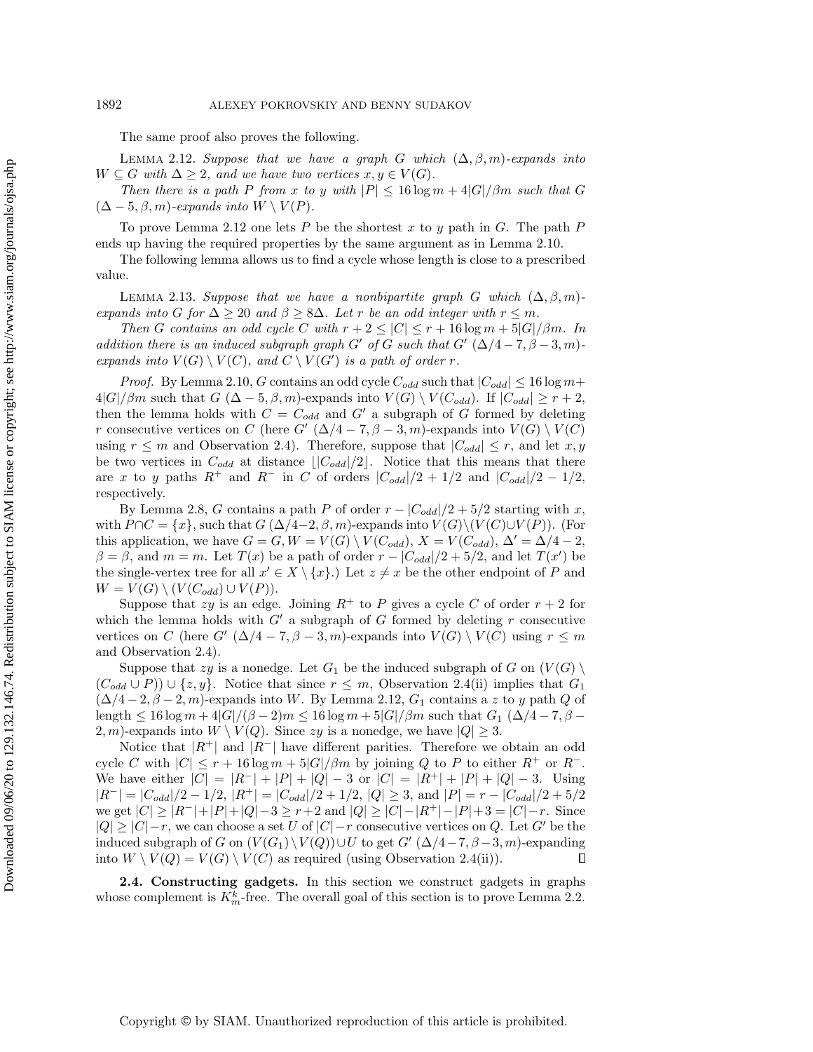<span id="page-8-2"></span>The same proof also proves the following.

LEMMA 2.12. Suppose that we have a graph G which  $(\Delta , \beta , m)$ -expands into  $W \subseteq G$  with  $\Delta \geq 2$ , and we have two vertices  $x, y \in V (G)$ .

Then there is a path P from x to y with  $|P| \leq 16 \log m + 4|G| / \beta m$  such that G  $(\Delta - 5, \beta, m)$ -expands into  $W \setminus V (P)$ .

To prove Lemma [2.12](#page-8-2) one lets P be the shortest x to y path in G. The path P ends up having the required properties by the same argument as in Lemma [2.10.](#page-7-1)

<span id="page-8-0"></span>The following lemma allows us to find a cycle whose length is close to a prescribed value.

LEMMA 2.13. Suppose that we have a nonbipartite graph G which  $(\Delta , \beta , m)$ expands into G for  $\Delta \geq 20$  and  $\beta \geq 8\Delta$ . Let r be an odd integer with  $r \leq m$ .

Then G contains an odd cycle C with  $r + 2 \leq |C| \leq r + 16 \log m + 5|G| / \beta m$ . In addition there is an induced subgraph graph G' of G such that G'  $(\Delta /4 - 7, \beta - 3, m)$ expands into  $V(G) \setminus V (C)$ , and  $C \setminus V (G')$  is a path of order r.

*Proof.* By Lemma [2.10,](#page-7-1) G contains an odd cycle  $C_{odd}$  such that  $|C_{odd}| \leq 16 \log m+$  $4|G|/\beta m$  such that  $G (\Delta - 5, \beta, m)$ -expands into  $V (G) \setminus V (C_{odd})$ . If  $|C_{odd}| \geq r + 2$ , then the lemma holds with  $C = C_{odd}$  and  $G'$  a subgraph of G formed by deleting r consecutive vertices on C (here G'  $(\Delta /4 - 7, \beta - 3, m)$ -expands into  $V (G) \setminus V (C)$ using  $r \leq m$  and Observation [2.4\)](#page-4-3). Therefore, suppose that  $| C_{odd} | \leq r$ , and let  $x, y$ be two vertices in  $C_{odd}$  at distance  $\lfloor |C_{odd}|/2\rfloor$ . Notice that this means that there are x to y paths  $R^+$  and  $R^-$  in C of orders  $|C_{odd}|/2 + 1/2$  and  $|C_{odd}|/2 - 1/2$ , respectively.

By Lemma [2.8,](#page-6-0) G contains a path P of order  $r - |C_{odd}|/2 + 5/2$  starting with x, with  $P \cap C = \{ x \}$ , such that  $G (\Delta /4 - 2, \beta, m)$ -expands into  $V (G)\setminus (V (C)\cup V (P))$ . (For this application, we have  $G = G, W = V(G) \setminus V (C_{odd}), X = V (C_{odd}), \Delta' = \Delta /4 - 2,$  $\beta = \beta$ , and  $m = m$ . Let  $T(x)$  be a path of order  $r - |C_{odd}| /2 + 5/2$ , and let  $T(x')$  be the single-vertex tree for all  $x' \in X \setminus \{ x \}$ .) Let  $z \neq x$  be the other endpoint of P and  $W = V(G) \setminus (V(C_{odd}) \cup V(P)).$ 

Suppose that zy is an edge. Joining  $R^+$  to P gives a cycle C of order  $r + 2$  for which the lemma holds with  $G'$  a subgraph of G formed by deleting r consecutive vertices on C (here G'  $(\Delta /4 - 7, \beta - 3, m)$ -expands into  $V (G) \setminus V (C)$  using  $r \leq m$ and Observation [2.4\)](#page-4-3).

Suppose that zy is a nonedge. Let  $G_1$  be the induced subgraph of G on  $(V(G) \setminus$  $(C_{odd} \cup P) \cup \{z, y\}$ . Notice that since  $r \leq m$ , Observation [2.4\(](#page-4-3)ii) implies that  $G_1$  $(\Delta /4 - 2, \beta - 2, m)$ -expands into W. By Lemma [2.12,](#page-8-2)  $G_1$  contains a z to y path Q of length  $\leq 16 \log m + 4| G| / (\beta - 2)m \leq 16 \log m + 5| G| / \beta m$  such that  $G_1 (\Delta /4 - 7, \beta -$ 2, m)-expands into  $W \setminus V (Q)$ . Since zy is a nonedge, we have  $|Q| \geq 3$ .

Notice that  $|R^+|$  and  $|R^-|$  have different parities. Therefore we obtain an odd cycle C with  $|C| \leq r + 16 \log m + 5|G| / \beta m$  by joining Q to P to either  $R^+$  or  $R^-$ . We have either  $|C| = |R^-| + |P| + |Q| - 3$  or  $|C| = |R^+| + |P| + |Q| - 3$ . Using  $|R^-| = |C_{odd}|/2 - 1/2$ ,  $|R^+| = |C_{odd}|/2 + 1/2$ ,  $|Q| \geq 3$ , and  $|P| = r - |C_{odd}|/2 + 5/2$ we get  $|C| \geq |R^-| + |P| + |Q| - 3 \geq r+2$  and  $|Q| \geq |C| - |R^+| - |P| + 3 = |C| - r$ . Since  $|Q| \geq |C| - r$ , we can choose a set U of  $|C| - r$  consecutive vertices on Q. Let G' be the induced subgraph of G on  $(V(G_1) \setminus V(Q)) \cup U$  to get  $G\prime$   $(\Delta /4 - 7, \beta - 3, m)$ -expanding into  $W \setminus V (Q) = V (G) \setminus V (C)$  as required (using Observation [2.4\(](#page-4-3)ii)). Л

<span id="page-8-1"></span>2.4. Constructing gadgets. In this section we construct gadgets in graphs whose complement is  $K_m^k$ -free. The overall goal of this section is to prove Lemma [2.2.](#page-4-1)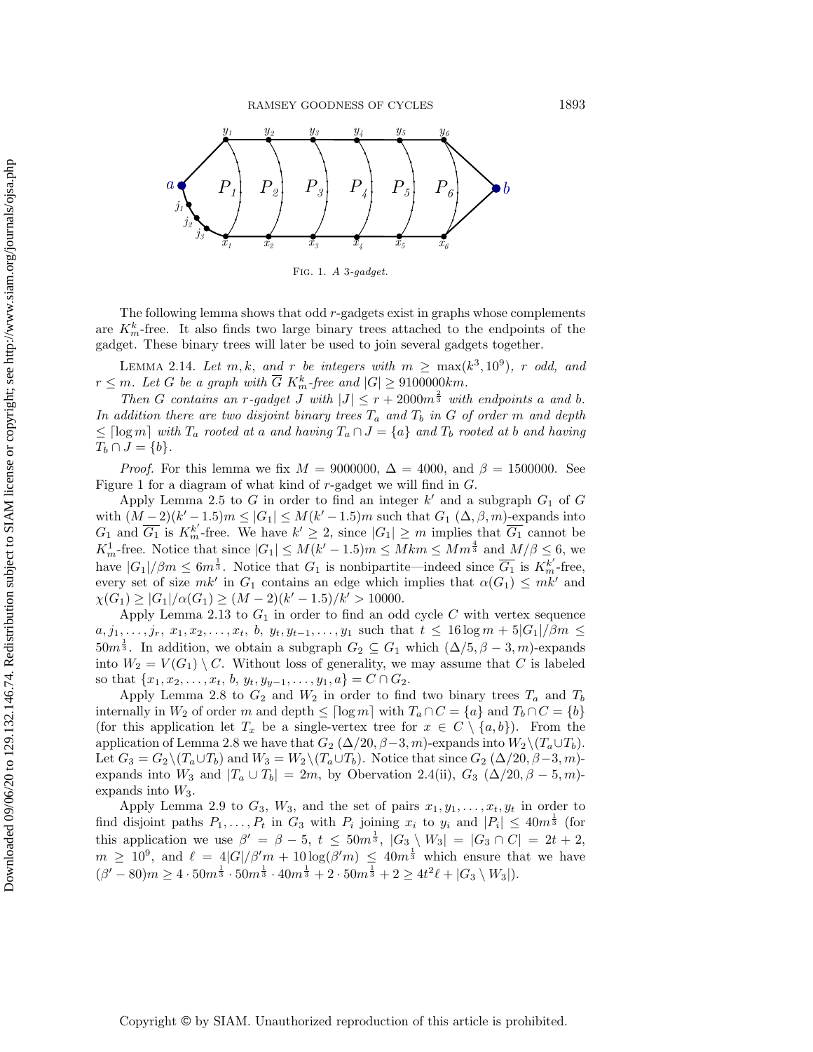<span id="page-9-0"></span>

<span id="page-9-1"></span>Fig. 1. A 3-gadget.

The following lemma shows that odd r-gadgets exist in graphs whose complements are  $K_m^k$ -free. It also finds two large binary trees attached to the endpoints of the gadget. These binary trees will later be used to join several gadgets together.

LEMMA 2.14. Let  $m, k$ , and r be integers with  $m \geq \max(k^3, 10^9)$ , r odd, and  $r \leq m$ . Let G be a graph with  $\overline{G}$  K<sup>k</sup><sub>m</sub>-free and  $|G| \geq 9100000km$ .

Then G contains an r-gadget J with  $|J| \leq r + 2000m^{\frac{2}{3}}$  with endpoints a and b. In addition there are two disjoint binary trees  $T_a$  and  $T_b$  in G of order m and depth  $\leq \lceil \log m\rceil$  with  $T_a$  rooted at a and having  $T_a \cap J = \{ a\}$  and  $T_b$  rooted at b and having  $T_b \cap J = \{ b\}.$ 

*Proof.* For this lemma we fix  $M = 9000000$ ,  $\Delta = 4000$ , and  $\beta = 1500000$ . See Figure [1](#page-9-0) for a diagram of what kind of r-gadget we will find in G.

Apply Lemma [2.5](#page-5-0) to G in order to find an integer  $k'$  and a subgraph  $G_1$  of G with  $(M-2)(k'-1.5)m \leq |G_1| \leq M(k'-1.5)m$  such that  $G_1 (\Delta , \beta , m)$ -expands into  $G_1$  and  $\overline{G_1}$  is  $K_m^{k'}$ -free. We have  $k' \geq 2$ , since  $|G_1| \geq m$  implies that  $\overline{G_1}$  cannot be  $K_m^1$ -free. Notice that since  $|G_1| \leq M(k'-1.5)m \leq Mkm \leq Mm^{\frac{4}{3}}$  and  $M/\beta \leq 6$ , we have  $|G_1|/\beta m \leq 6m^{\frac{1}{3}}$ . Notice that  $G_1$  is nonbipartite—indeed since  $\overline{G_1}$  is  $K_m^{k'}$ -free, every set of size  $mk'$  in  $G_1$  contains an edge which implies that  $\alpha(G_1) \leq mk'$  and  $\chi (G_1) \geq |G_1| / \alpha (G_1) \geq (M - 2)(k' - 1.5)/k' > 10000.$ 

Apply Lemma [2.13](#page-8-0) to  $G_1$  in order to find an odd cycle C with vertex sequence  $a, j_1, \ldots, j_r, x_1, x_2, \ldots, x_t, b, y_t, y_{t-1}, \ldots, y_1$  such that  $t \leq 16 \log m + 5|G_1| / \beta m \leq$  $50m^{\frac{1}{3}}$ . In addition, we obtain a subgraph  $G_2 \subseteq G_1$  which  $(\Delta /5, \beta - 3, m)$ -expands into  $W_2 = V(G_1) \setminus C$ . Without loss of generality, we may assume that C is labeled so that  $\{ x_1, x_2, \ldots, x_t, b, y_t, y_{y-1}, \ldots, y_1, a\} = C \cap G_2.$ 

Apply Lemma [2.8](#page-6-0) to  $G_2$  and  $W_2$  in order to find two binary trees  $T_a$  and  $T_b$ internally in  $W_2$  of order m and depth  $\leq \lceil \log m\rceil$  with  $T_a \cap C = \{ a\}$  and  $T_b \cap C = \{ b\}$ (for this application let  $T_x$  be a single-vertex tree for  $x \in C \setminus \{a, b\}$ ). From the application of Lemma [2.8](#page-6-0) we have that  $G_2$  ( $\Delta /20, \beta - 3, m$ )-expands into  $W_2 \setminus (T_a \cup T_b)$ . Let  $G_3 = G_2 \setminus (T_a \cup T_b)$  and  $W_3 = W_2 \setminus (T_a \cup T_b)$ . Notice that since  $G_2 (\Delta /20, \beta - 3, m)$ expands into  $W_3$  and  $|T_a \cup T_b| = 2m$ , by Obervation [2.4\(](#page-4-3)ii),  $G_3$  ( $\Delta /20, \beta - 5, m$ )expands into  $W_3$ .

Apply Lemma [2.9](#page-6-1) to  $G_3$ ,  $W_3$ , and the set of pairs  $x_1, y_1, \ldots, x_t, y_t$  in order to find disjoint paths  $P_1, \ldots, P_t$  in  $G_3$  with  $P_i$  joining  $x_i$  to  $y_i$  and  $|P_i| \leq 40m^{\frac{1}{3}}$  (for this application we use  $\beta' = \beta - 5, t \leq 50m^{\frac{1}{3}}, |G_3 \setminus W_3| = |G_3 \cap C| = 2t + 2$ ,  $m \geq 10^9$ , and  $\ell = 4|G|/\beta' m + 10 \log(\beta' m) \leq 40m^{\frac{1}{3}}$  which ensure that we have  $(\beta' - 80) m \geq 4 \cdot 50m^{\frac{1}{3}} \cdot 50m^{\frac{1}{3}} \cdot 40m^{\frac{1}{3}} + 2 \cdot 50m^{\frac{1}{3}} + 2 \geq 4t^2 \ell + |G_3 \setminus W_3|$ .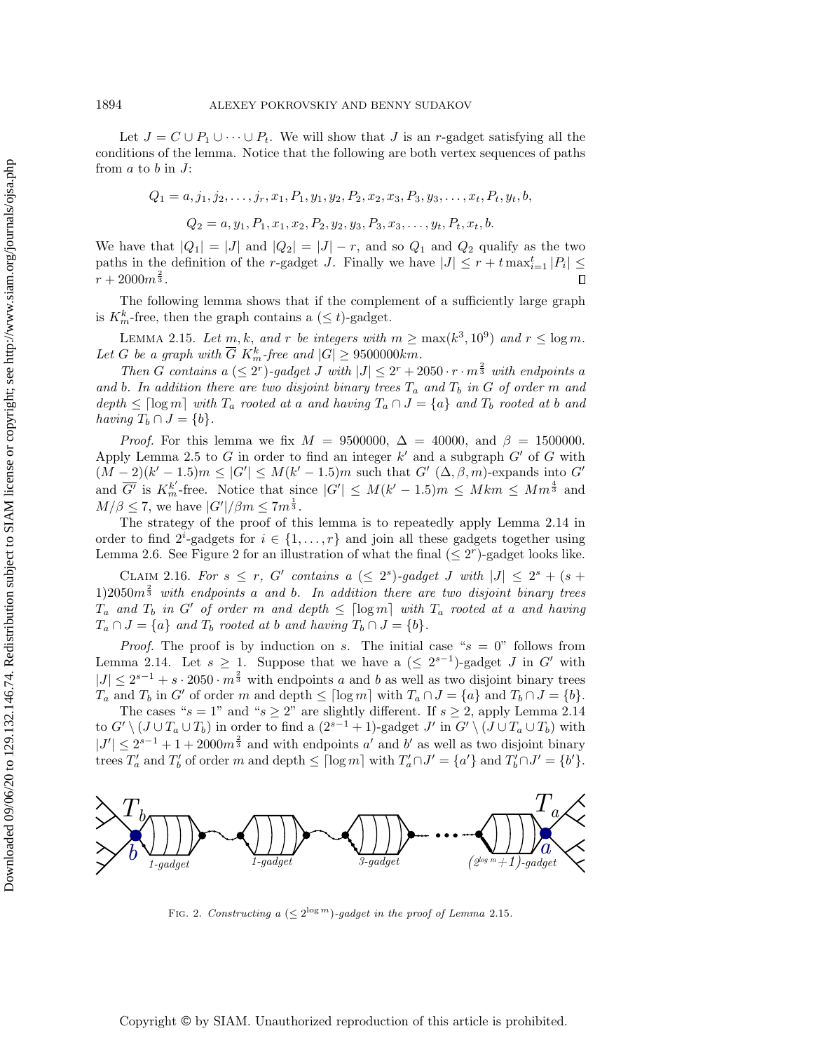Let  $J = C \cup P_1 \cup \cdots \cup P_t$ . We will show that J is an r-gadget satisfying all the conditions of the lemma. Notice that the following are both vertex sequences of paths from  $a$  to  $b$  in  $J$ :

$$
Q_1 = a, j_1, j_2, \dots, j_r, x_1, P_1, y_1, y_2, P_2, x_2, x_3, P_3, y_3, \dots, x_t, P_t, y_t, b,
$$
  

$$
Q_2 = a, y_1, P_1, x_1, x_2, P_2, y_2, y_3, P_3, x_3, \dots, y_t, P_t, x_t, b.
$$

We have that  $|Q_1| = |J|$  and  $|Q_2| = |J| - r$ , and so  $Q_1$  and  $Q_2$  qualify as the two paths in the definition of the r-gadget J. Finally we have  $|J| \leq r + t \max_{i=1}^t |P_i| \leq$  $r + 2000m^{\frac{2}{3}}$ .  $\Box$ 

The following lemma shows that if the complement of a sufficiently large graph is  $K_m^k$ -free, then the graph contains a  $(\leq t)$ -gadget.

<span id="page-10-1"></span>LEMMA 2.15. Let  $m, k,$  and r be integers with  $m \geq \max(k^3, 10^9)$  and  $r \leq \log m$ . Let G be a graph with  $\overline{G}$  K<sup>k</sup><sub>m</sub>-free and  $|G| \geq 9500000km$ .

Then G contains a  $(\leq 2^r)$ -gadget J with  $|J| \leq 2^r + 2050 \cdot r \cdot m^{\frac{2}{3}}$  with endpoints a and b. In addition there are two disjoint binary trees  $T_a$  and  $T_b$  in G of order m and depth  $\leq \lceil \log m \rceil$  with  $T_a$  rooted at a and having  $T_a \cap J = \{a\}$  and  $T_b$  rooted at b and having  $T_b \cap J = \{ b\}.$ 

*Proof.* For this lemma we fix  $M = 9500000$ ,  $\Delta = 40000$ , and  $\beta = 1500000$ . Apply Lemma [2.5](#page-5-0) to G in order to find an integer  $k'$  and a subgraph  $G'$  of G with  $(M-2)(k'-1.5)m \leq |G'| \leq M(k'-1.5)m$  such that  $G'(\Delta, \beta, m)$ -expands into  $G'$ and  $\overline{G'}$  is  $K_m^{k'}$ -free. Notice that since  $|G'| \leq M(k'-1.5)m \leq Mkm \leq Mm^{\frac{4}{3}}$  and  $M/\beta \leq 7$ , we have  $|G'|/\beta m \leq 7m^{\frac{1}{3}}$ .

The strategy of the proof of this lemma is to repeatedly apply Lemma [2.14](#page-9-1) in order to find  $2^i$ -gadgets for  $i \in \{ 1, ..., r\}$  and join all these gadgets together using Lemma [2.6.](#page-5-1) See Figure [2](#page-10-0) for an illustration of what the final  $(\leq 2^r)$ -gadget looks like.

CLAIM 2.16. For  $s \leq r$ , G' contains a  $(\leq 2^s)$ -gadget J with  $|J| \leq 2^s + (s +$ 1)2050 $m^{\frac{2}{3}}$  with endpoints a and b. In addition there are two disjoint binary trees  $T_a$  and  $T_b$  in G' of order m and depth  $\leq \lceil \log m\rceil$  with  $T_a$  rooted at a and having  $T_a \cap J = \{ a\}$  and  $T_b$  rooted at b and having  $T_b \cap J = \{ b\}$ .

*Proof.* The proof is by induction on s. The initial case " $s = 0$ " follows from Lemma [2.14.](#page-9-1) Let  $s \geq 1$ . Suppose that we have a  $(\leq 2^{s-1})$ -gadget J in G' with  $|J| \leq 2^{s-1} + s \cdot 2050 \cdot m^{\frac{2}{3}}$  with endpoints a and b as well as two disjoint binary trees  $T_a$  and  $T_b$  in G' of order m and depth  $\leq \lceil \log m\rceil$  with  $T_a \cap J = \{ a\}$  and  $T_b \cap J = \{ b\}$ .

The cases " $s = 1$ " and " $s \geq 2$ " are slightly different. If  $s \geq 2$ , apply Lemma [2.14](#page-9-1) to  $G' \setminus (J \cup T_a \cup T_b)$  in order to find a  $(2^{s-1} + 1)$ -gadget  $J'$  in  $G' \setminus (J \cup T_a \cup T_b)$  with  $|J'| \leq 2^{s-1} + 1 + 2000m^{\frac{2}{3}}$  and with endpoints a' and b' as well as two disjoint binary trees  $T_a'$  and  $T_b'$  of order m and depth  $\leq \lceil \log m \rceil$  with  $T_a' \cap J' = \{a'\}$  and  $T_b' \cap J' = \{b'\}.$ 

<span id="page-10-0"></span>

FIG. 2. Constructing a  $(\leq 2^{\log m})$ -gadget in the proof of Lemma [2.15](#page-10-1).

Copyright © by SIAM. Unauthorized reproduction of this article is prohibited.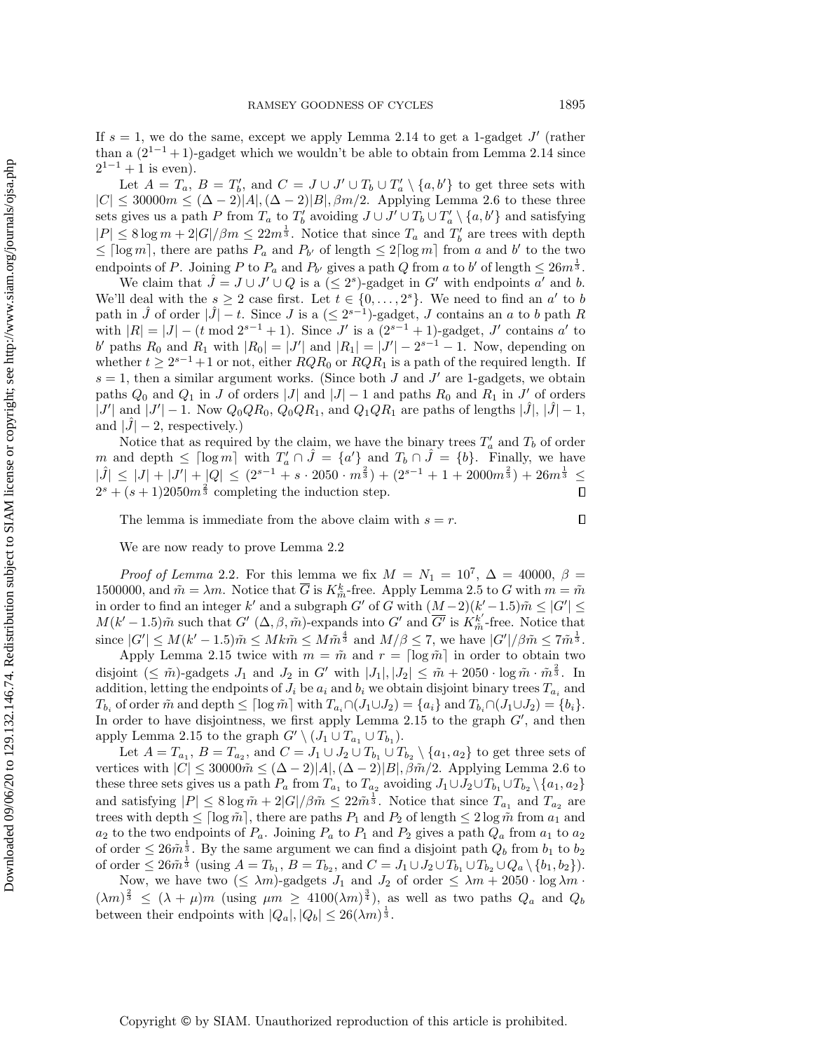If  $s = 1$ , we do the same, except we apply Lemma [2.14](#page-9-1) to get a 1-gadget  $J'$  (rather than a  $(2^{1-1}+1)$ -gadget which we wouldn't be able to obtain from Lemma [2.14](#page-9-1) since  $2^{1-1} + 1$  is even).

Let  $A = T_a$ ,  $B = T'_b$ , and  $C = J \cup J' \cup T_b \cup T'_a \setminus \{a, b'\}$  to get three sets with  $|C| \leq 30000m \leq (\Delta - 2)|A|,(\Delta - 2)|B|, \beta m/2.$  Applying Lemma [2.6](#page-5-1) to these three sets gives us a path P from  $T_a$  to  $T'_b$  avoiding  $J \cup J' \cup T_b \cup T'_a \setminus \{a, b'\}$  and satisfying  $|P| \leq 8 \log m + 2|G| / \beta m \leq 22m^{\frac{1}{3}}$ . Notice that since  $T_a$  and  $T'_b$  are trees with depth  $\leq \lceil \log m \rceil$ , there are paths  $P_a$  and  $P_{b'}$  of length  $\leq 2\lceil \log m\rceil$  from a and b' to the two endpoints of P. Joining P to  $P_a$  and  $P_{b'}$  gives a path Q from a to b' of length  $\leq 26m^{\frac{1}{3}}$ .

We claim that  $\hat{J} = J \cup J' \cup Q$  is a  $(\leq 2^s)$ -gadget in G' with endpoints a' and b. We'll deal with the  $s \geq 2$  case first. Let  $t \in \{ 0, ..., 2^s \}$ . We need to find an a' to b path in  $\hat{J}$  of order  $|\hat{J}| - t$ . Since J is a  $(\leq 2^{s-1})$ -gadget, J contains an a to b path R with  $|R| = |J| - (t \mod 2^{s-1} + 1)$ . Since J' is a  $(2^{s-1} + 1)$ -gadget, J' contains a' to b' paths  $R_0$  and  $R_1$  with  $|R_0| = |J'|$  and  $|R_1| = |J'| - 2^{s-1} - 1$ . Now, depending on whether  $t \geq 2^{s-1}+1$  or not, either  $RQR_0$  or  $RQR_1$  is a path of the required length. If  $s = 1$ , then a similar argument works. (Since both J and J' are 1-gadgets, we obtain paths  $Q_0$  and  $Q_1$  in J of orders |J| and |J| - 1 and paths  $R_0$  and  $R_1$  in J' of orders  $|J'|$  and  $|J'|-1$ . Now  $Q_0QR_0, Q_0QR_1$ , and  $Q_1QR_1$  are paths of lengths  $|\hat{J}|, |\hat{J}|-1$ , and  $|J| - 2$ , respectively.)

Notice that as required by the claim, we have the binary trees  $T_a$  and  $T_b$  of order m and depth  $\leq \lceil \log m \rceil$  with  $T_a' \cap \hat{J} = \{ a' \}$  and  $T_b \cap \hat{J} = \{ b \}$ . Finally, we have  $|\hat{J}| \leq |J| + |J'| + |Q| \leq (2^{s-1} + s \cdot 2050 \cdot m^{\frac{2}{3}}) + (2^{s-1} + 1 + 2000m^{\frac{2}{3}}) + 26m^{\frac{1}{3}} \leq$  $2^{s} + (s+1)2050m^{\frac{2}{3}}$  completing the induction step.  $\Box$ 

The lemma is immediate from the above claim with  $s = r$ .

We are now ready to prove Lemma [2.2](#page-4-1)

*Proof of Lemma* [2.2](#page-4-1). For this lemma we fix  $M = N_1 = 10^7$ ,  $\Delta = 40000$ ,  $\beta =$ 1500000, and  $\tilde{m} = \lambda m$ . Notice that  $\overline{G}$  is  $K_{\tilde{m}}^k$ -free. Apply Lemma [2.5](#page-5-0) to G with  $m = \tilde{m}$ in order to find an integer k' and a subgraph G' of G with  $(M - 2)(k' - 1.5) \tilde{m} \leq |G'| \leq$  $M(k'-1.5) \tilde{m}$  such that  $G'(\Delta, \beta, \tilde{m})$ -expands into  $G'$  and  $\overline{G'}$  is  $\overline{K}_{\tilde{m}}^{k'}$ -free. Notice that since  $|G'| \leq M(k'-1.5) \tilde{m} \leq Mk \tilde{m} \leq M \tilde{m}^{\frac{4}{3}}$  and  $M/\beta \leq 7$ , we have  $|G'|/\beta \tilde{m} \leq 7 \tilde{m}^{\frac{1}{3}}$ .

Apply Lemma [2.15](#page-10-1) twice with  $m = \tilde{m}$  and  $r = \left[ \log \tilde{m} \right]$  in order to obtain two disjoint  $(\leq \tilde{m})$ -gadgets  $J_1$  and  $J_2$  in G' with  $|J_1|, |J_2| \leq \tilde{m} + 2050 \cdot \log \tilde{m} \cdot \tilde{m}^{\frac{2}{3}}$ . In addition, letting the endpoints of  $J_i$  be  $a_i$  and  $b_i$  we obtain disjoint binary trees  $T_{a_i}$  and  $T_{b_i}$  of order  $\tilde{m}$  and depth  $\leq \lceil \log \tilde{m} \rceil$  with  $T_{a_i} \cap (J_1\cup J_2) = \{a_i\}$  and  $T_{b_i} \cap (J_1\cup J_2) = \{b_i\}$ . In order to have disjointness, we first apply Lemma [2.15](#page-10-1) to the graph  $G'$ , and then apply Lemma [2.15](#page-10-1) to the graph  $G' \setminus (J_1 \cup T_{a_1} \cup T_{b_1})$ .

Let  $A = T_{a_1}$ ,  $B = T_{a_2}$ , and  $C = J_1 \cup J_2 \cup T_{b_1} \cup T_{b_2} \setminus \{a_1, a_2\}$  to get three sets of vertices with  $|C| \leq 30000 \tilde{m} \leq (\Delta - 2)|A|,(\Delta - 2)|B|, \beta \tilde{m}/2$ . Applying Lemma [2.6](#page-5-1) to these three sets gives us a path  $P_a$  from  $T_{a_1}$  to  $T_{a_2}$  avoiding  $J_1\cup J_2\cup T_{b_1}\cup T_{b_2}\setminus\{a_1,a_2\}$ and satisfying  $|P| \leq 8 \log \tilde{m} + 2|G| / \beta \tilde{m} \leq 22 \tilde{m}^{\frac{1}{3}}$ . Notice that since  $T_{a_1}$  and  $T_{a_2}$  are trees with depth  $\leq \left[ \log \tilde{m} \right]$ , there are paths  $P_1$  and  $P_2$  of length  $\leq 2 \log \tilde{m}$  from  $a_1$  and  $a_2$  to the two endpoints of  $P_a$ . Joining  $P_a$  to  $P_1$  and  $P_2$  gives a path  $Q_a$  from  $a_1$  to  $a_2$ of order  $\leq 26 \tilde{m}^{\frac{1}{3}}$ . By the same argument we can find a disjoint path  $Q_b$  from  $b_1$  to  $b_2$ of order  $\leq 26 \tilde{m}^{\frac{1}{3}}$  (using  $A = T_{b_1}$ ,  $B = T_{b_2}$ , and  $C = J_1 \cup J_2 \cup T_{b_1} \cup T_{b_2} \cup Q_a \setminus \{b_1, b_2\}$ ).

Now, we have two  $(\leq \lambda m)$ -gadgets  $J_1$  and  $J_2$  of order  $\leq \lambda m + 2050 \cdot \log \lambda m \cdot$  $(\lambda m)^{\frac{2}{3}} \leq (\lambda + \mu)m$  (using  $\mu m \geq 4100(\lambda m)^{\frac{3}{4}}$ ), as well as two paths  $Q_a$  and  $Q_b$ between their endpoints with  $|Q_a|, |Q_b| \leq 26(\lambda m)^{\frac{1}{3}}$ .

 $\Box$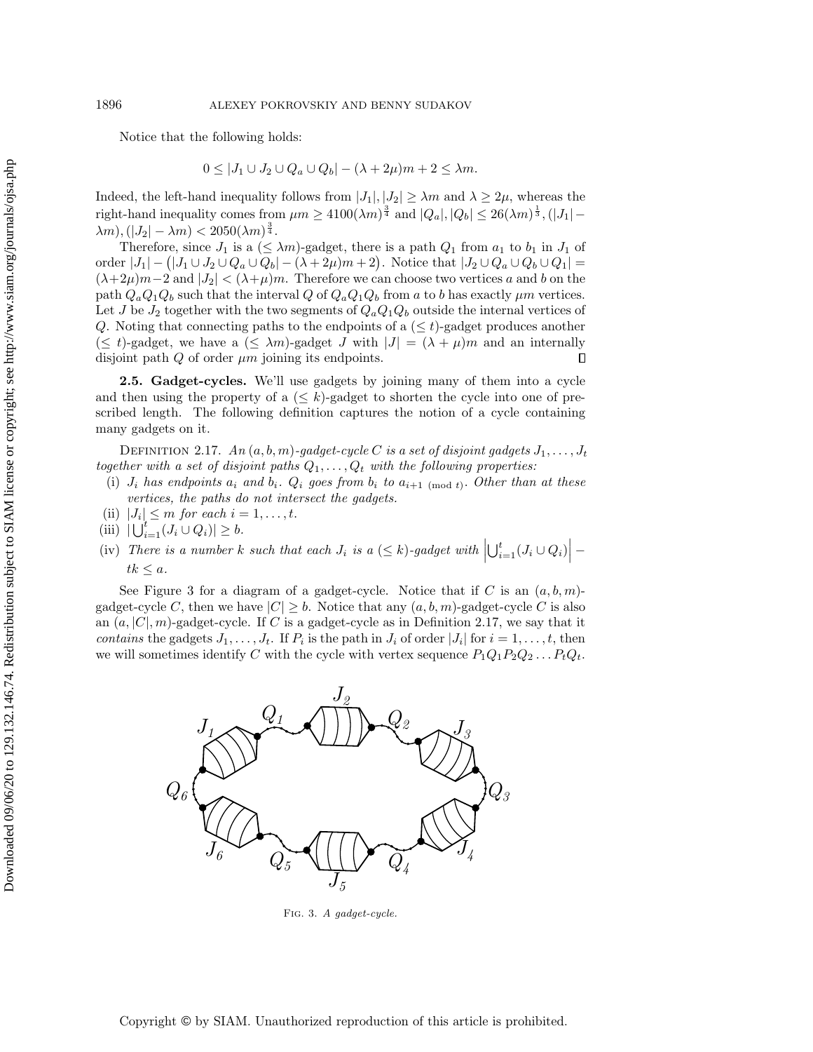Notice that the following holds:

$$
0 \le |J_1 \cup J_2 \cup Q_a \cup Q_b| - (\lambda + 2\mu)m + 2 \le \lambda m.
$$

Indeed, the left-hand inequality follows from  $|J_1|, |J_2| \geq \lambda m$  and  $\lambda \geq 2\mu$ , whereas the right-hand inequality comes from  $\mu m \geq 4100(\lambda m)^{\frac{3}{4}}$  and  $|Q_a|, |Q_b| \leq 26(\lambda m)^{\frac{1}{3}}, (|J_1| \lambda m$ ,  $(|J_2| - \lambda m) < 2050(\lambda m)^{\frac{3}{4}}$ .

Therefore, since  $J_1$  is a  $(\leq \lambda m)$ -gadget, there is a path  $Q_1$  from  $a_1$  to  $b_1$  in  $J_1$  of order  $|J_1| - (|J_1 \cup J_2 \cup Q_a \cup Q_b| - (\lambda + 2\mu)m + 2)$ . Notice that  $|J_2 \cup Q_a \cup Q_b \cup Q_1|$  $(\lambda + 2\mu)m - 2$  and  $|J_2| < (\lambda + \mu)m$ . Therefore we can choose two vertices a and b on the path  $Q_aQ_1Q_b$  such that the interval Q of  $Q_aQ_1Q_b$  from a to b has exactly  $\mu m$  vertices. Let J be  $J_2$  together with the two segments of  $Q_aQ_1Q_b$  outside the internal vertices of Q. Noting that connecting paths to the endpoints of a  $(\leq t)$ -gadget produces another  $(\leq t)$ -gadget, we have a  $(\leq \lambda m)$ -gadget J with  $|J| = (\lambda + \mu)m$  and an internally disjoint path  $Q$  of order  $\mu$ m joining its endpoints.  $\Box$ 

<span id="page-12-0"></span>2.5. Gadget-cycles. We'll use gadgets by joining many of them into a cycle and then using the property of a  $(\leq k)$ -gadget to shorten the cycle into one of prescribed length. The following definition captures the notion of a cycle containing many gadgets on it.

<span id="page-12-2"></span>DEFINITION 2.17. An  $(a, b, m)$ -gadget-cycle C is a set of disjoint gadgets  $J_1, \ldots, J_t$ together with a set of disjoint paths  $Q_1, \ldots, Q_t$  with the following properties:

- (i)  $J_i$  has endpoints  $a_i$  and  $b_i$ .  $Q_i$  goes from  $b_i$  to  $a_{i+1 \pmod{t}}$ . Other than at these vertices, the paths do not intersect the gadgets.
- (ii)  $|J_i| \leq m$  for each  $i = 1, \ldots, t$ .
- (iii)  $|\bigcup_{i=1}^t (J_i \cup Q_i)| \geq b.$
- (iv) There is a number k such that each  $J_i$  is a  $(\leq k)$ -gadget with  $\left| \bigcup_{i=1}^t (J_i \cup Q_i) \right|$   $tk \leq a$ .

See Figure [3](#page-12-1) for a diagram of a gadget-cycle. Notice that if C is an  $(a, b, m)$ gadget-cycle C, then we have  $|C| \geq b$ . Notice that any  $(a, b, m)$ -gadget-cycle C is also an  $(a, |C|, m)$ -gadget-cycle. If C is a gadget-cycle as in Definition [2.17,](#page-12-2) we say that it contains the gadgets  $J_1, \ldots, J_t$ . If  $P_i$  is the path in  $J_i$  of order  $|J_i|$  for  $i = 1, \ldots, t$ , then we will sometimes identify C with the cycle with vertex sequence  $P_1Q_1P_2Q_2 \ldots P_tQ_t$ .

<span id="page-12-1"></span>

Fig. 3. A gadget-cycle.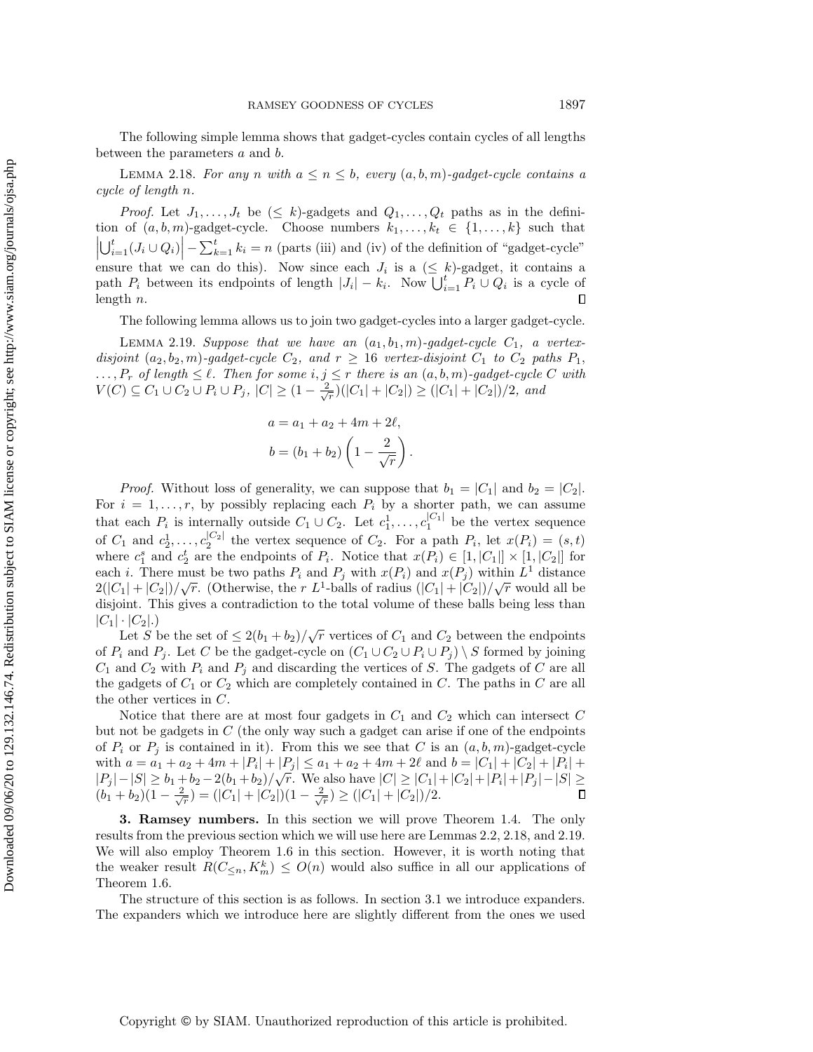<span id="page-13-1"></span>The following simple lemma shows that gadget-cycles contain cycles of all lengths between the parameters a and b.

LEMMA 2.18. For any n with  $a \leq n \leq b$ , every  $(a, b, m)$ -gadget-cycle contains a cycle of length n.

*Proof.* Let  $J_1, \ldots, J_t$  be  $(\leq k)$ -gadgets and  $Q_1, \ldots, Q_t$  paths as in the definition of  $(a, b, m)$ -gadget-cycle. Choose numbers  $k_1, \ldots, k_t \in \{ 1, \ldots, k\}$  such that  $\left| \bigcup_{i=1}^t (J_i \cup Q_i) \right| - \sum_{k=1}^t k_i = n$  (parts (iii) and (iv) of the definition of "gadget-cycle"  $\begin{bmatrix} \bigcup_{i=1}^{n} \bigcup_{i=1}^{n} \bigcup_{i=1}^{n} \bigcup_{i=1}^{n} \bigcup_{i=1}^{n} \bigcup_{i=1}^{n} \bigcup_{i=1}^{n} \bigcup_{i=1}^{n} \bigcup_{i=1}^{n} \bigcup_{i=1}^{n} \bigcup_{i=1}^{n} \bigcup_{i=1}^{n} \bigcup_{i=1}^{n} \bigcup_{i=1}^{n} \bigcup_{i=1}^{n} \bigcup_{i=1}^{n} \bigcup_{i=1}^{n} \bigcup_{i=1}^{n} \bigcup_{i=1}^{n} \bigcup_{i$ path  $P_i$  between its endpoints of length  $|J_i| - k_i$ . Now  $\bigcup_{i=1}^t P_i \cup Q_i$  is a cycle of length n. П

The following lemma allows us to join two gadget-cycles into a larger gadget-cycle.

<span id="page-13-2"></span>LEMMA 2.19. Suppose that we have an  $(a_1, b_1, m)$ -gadget-cycle  $C_1$ , a vertexdisjoint  $(a_2, b_2, m)$ -gadget-cycle  $C_2$ , and  $r \geq 16$  vertex-disjoint  $C_1$  to  $C_2$  paths  $P_1$ ,  $\ldots, P_r$  of length  $\leq \ell$ . Then for some  $i, j \leq r$  there is an  $(a, b, m)$ -gadget-cycle C with  $V(C) \subseteq C_1 \cup C_2 \cup P_i \cup P_j , |C| \geq (1 - \frac{2}{\sqrt{r}})(|C_1| + |C_2|) \geq (|C_1| + |C_2|)/2,$  and

$$
a = a_1 + a_2 + 4m + 2\ell,
$$
  

$$
b = (b_1 + b_2) \left( 1 - \frac{2}{\sqrt{r}} \right).
$$

*Proof.* Without loss of generality, we can suppose that  $b_1 = |C_1|$  and  $b_2 = |C_2|$ . For  $i = 1, \ldots, r$ , by possibly replacing each  $P_i$  by a shorter path, we can assume that each  $P_i$  is internally outside  $C_1 \cup C_2$ . Let  $c_1^1, \ldots, c_1^{|C_1|}$  be the vertex sequence of  $C_1$  and  $c_2^1, \ldots, c_2^{|C_2|}$  the vertex sequence of  $C_2$ . For a path  $P_i$ , let  $x(P_i) = (s, t)$ where  $c_1^s$  and  $c_2^t$  are the endpoints of  $P_i$ . Notice that  $x(P_i) \in [1, |C_1|] \times [1, |C_2|]$  for each *i*. There must be two paths  $P_i$  and  $P_j$  with  $x(P_i)$  and  $x(P_j)$  within  $L^1$  distance  $2(|C_1|+|C_2|)/\sqrt{r}$ . (Otherwise, the r  $L^1$ -balls of radius  $(|C_1|+|C_2|)/\sqrt{r}$  would all be disjoint. This gives a contradiction to the total volume of these balls being less than  $| C_1 | \cdot | C_2 | .$ 

Let S be the set of  $\leq 2(b_1 + b_2)/\sqrt{r}$  vertices of  $C_1$  and  $C_2$  between the endpoints of  $P_i$  and  $P_j$ . Let C be the gadget-cycle on  $(C_1 \cup C_2 \cup P_i \cup P_j ) \setminus S$  formed by joining  $C_1$  and  $C_2$  with  $P_i$  and  $P_j$  and discarding the vertices of S. The gadgets of C are all the gadgets of  $C_1$  or  $C_2$  which are completely contained in  $C$ . The paths in  $C$  are all the other vertices in C.

Notice that there are at most four gadgets in  $C_1$  and  $C_2$  which can intersect  $C$ but not be gadgets in  $C$  (the only way such a gadget can arise if one of the endpoints of  $P_i$  or  $P_j$  is contained in it). From this we see that C is an  $(a, b, m)$ -gadget-cycle with  $a = a_1 + a_2 + 4m + |P_i| + |P_j| \leq a_1 + a_2 + 4m + 2\ell$  and  $b = |C_1| + |C_2| + |P_i| +$  $|P_j| - |S| \geq b_1 + b_2 - 2(b_1 + b_2)/\sqrt{r}$ . We also have  $|C| \geq |C_1| + |C_2| + |P_i| + |P_j| - |S| \geq$  $(b_1 + b_2)(1 - \frac{2}{\sqrt{r}}) = (|C_1| + |C_2|)(1 - \frac{2}{\sqrt{r}}) \geq (|C_1| + |C_2|)/2.$ 

<span id="page-13-0"></span>3. Ramsey numbers. In this section we will prove Theorem [1.4.](#page-1-2) The only results from the previous section which we will use here are Lemmas [2.2,](#page-4-1) [2.18,](#page-13-1) and [2.19.](#page-13-2) We will also employ Theorem [1.6](#page-2-0) in this section. However, it is worth noting that the weaker result  $R(C_{\leq n}, K_m^k) \leq O(n)$  would also suffice in all our applications of Theorem [1.6.](#page-2-0)

The structure of this section is as follows. In section [3.1](#page-14-0) we introduce expanders. The expanders which we introduce here are slightly different from the ones we used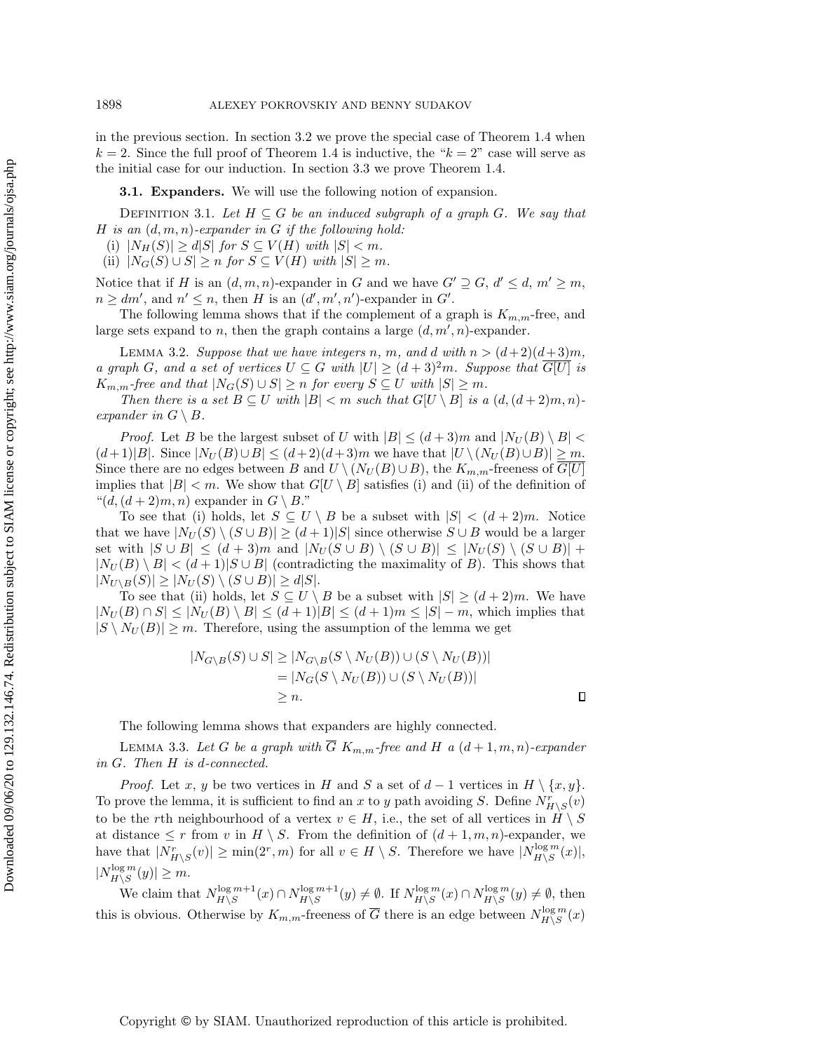in the previous section. In section [3.2](#page-15-1) we prove the special case of Theorem [1.4](#page-1-2) when  $k = 2$ . Since the full proof of Theorem [1.4](#page-1-2) is inductive, the " $k = 2$ " case will serve as the initial case for our induction. In section [3.3](#page-17-1) we prove Theorem [1.4.](#page-1-2)

<span id="page-14-2"></span><span id="page-14-0"></span>**3.1. Expanders.** We will use the following notion of expansion.

DEFINITION 3.1. Let  $H \subseteq G$  be an induced subgraph of a graph G. We say that H is an  $(d, m, n)$ -expander in G if the following hold:

(i)  $|N_H(S)| \geq d|S|$  for  $S \subseteq V (H)$  with  $|S| < m$ .

(ii)  $|N_G(S) \cup S| \geq n$  for  $S \subseteq V (H)$  with  $|S| \geq m$ .

Notice that if H is an  $(d, m, n)$ -expander in G and we have  $G' \supseteq G, d' \leq d, m' \geq m$ ,  $n \geq dm',$  and  $n' \leq n$ , then H is an  $(d', m', n')$ -expander in G'.

The following lemma shows that if the complement of a graph is  $K_{m,m}$ -free, and large sets expand to *n*, then the graph contains a large  $(d, m', n)$ -expander.

LEMMA 3.2. Suppose that we have integers n, m, and d with  $n > (d+2)(d+3)m$ , a graph G, and a set of vertices  $U \subseteq G$  with  $|U| \geq (d + 3)^2 m$ . Suppose that G[U] is  $K_{m,m}$ -free and that  $|N_G(S) \cup S| \geq n$  for every  $S \subseteq U$  with  $|S| \geq m$ .

Then there is a set  $B \subseteq U$  with  $|B| < m$  such that  $G[U \setminus B]$  is a  $(d, (d + 2)m, n)$ expander in  $G \setminus B$ .

*Proof.* Let B be the largest subset of U with  $|B| \leq (d + 3)m$  and  $|N_U (B) \setminus B|$  $(d+1)|B|$ . Since  $|N_U(B)\cup B| \leq (d+2)(d+3)m$  we have that  $|U \setminus (N_U (B)\cup B)| \geq m$ . Since there are no edges between B and  $U \setminus (N_U (B) \cup B)$ , the  $K_{m,m}$ -freeness of  $G[U]$ implies that  $|B| < m$ . We show that  $G[U \setminus B]$  satisfies (i) and (ii) of the definition of " $(d, (d + 2)m, n)$  expander in  $G \setminus B$ ."

To see that (i) holds, let  $S \subseteq U \setminus B$  be a subset with  $|S| < (d + 2)m$ . Notice that we have  $|N_U(S) \setminus (S \cup B)| \geq (d + 1)|S|$  since otherwise  $S \cup B$  would be a larger set with  $|S \cup B| \leq (d + 3)m$  and  $| N_U (S \cup B) \setminus (S \cup B)| \leq | N_U (S) \setminus (S \cup B)| +$  $|N_U(B) \setminus B| < (d+1)|S \cup B|$  (contradicting the maximality of B). This shows that  $|N_{U\setminus B}(S)| \geq | N_U (S) \setminus (S \cup B)| \geq d|S|.$ 

To see that (ii) holds, let  $S \subseteq U \setminus B$  be a subset with  $|S| \geq (d + 2)m$ . We have  $| N_U (B) \cap S | \leq | N_U (B) \setminus B| \leq (d + 1)| B| \leq (d + 1)m \leq | S | - m$ , which implies that  $|S \setminus N_U (B)| \geq m$ . Therefore, using the assumption of the lemma we get

<span id="page-14-1"></span>
$$
|N_{G\setminus B}(S) \cup S| \ge |N_{G\setminus B}(S \setminus N_U(B)) \cup (S \setminus N_U(B))|
$$
  
= |N\_G(S \setminus N\_U(B)) \cup (S \setminus N\_U(B))|  
 $\ge n.$ 

The following lemma shows that expanders are highly connected.

LEMMA 3.3. Let G be a graph with  $\overline{G}$  K<sub>m,m</sub>-free and H a  $(d+1, m, n)$ -expander in G. Then H is d-connected.

*Proof.* Let x, y be two vertices in H and S a set of  $d-1$  vertices in  $H \setminus \{ x, y \}$ . To prove the lemma, it is sufficient to find an x to y path avoiding S. Define  $N_{H\setminus S}^r(v)$ to be the rth neighbourhood of a vertex  $v \in H$ , i.e., the set of all vertices in  $H \setminus S$ at distance  $\leq r$  from v in  $H \setminus S$ . From the definition of  $(d + 1, m, n)$ -expander, we have that  $|N^r_{H \setminus S}(v)| \geq \min(2^r, m)$  for all  $v \in H \setminus S$ . Therefore we have  $|N^{log m}_{H \setminus S}|$  $\lim_{H\setminus S} \frac{m(x)}{s}$  $|N_{H\setminus S}^{\log m}$  $\lim_{H\setminus S} \frac{m(y)}{g(x)} \geq m.$ 

We claim that  $N_{H\setminus S}^{\log m+1}$  $\lim_{H \backslash S} m+1(x) \cap N_{H \backslash S}^{\log m+1}$  $\lim_{H \setminus S} B^{m+1}(y) \neq \emptyset$ . If  $N_{H \setminus S}^{\log m}$  $\frac{\log m}{H\setminus S}(x) \cap N_{H\setminus S}^{\log m}$  $H\backslash S^{log m}(y) \neq \emptyset$ , then this is obvious. Otherwise by  $K_{m,m}$ -freeness of  $\overline{G}$  there is an edge between  $N_{H\setminus S}^{\log m}$  $\frac{\log m}{H\setminus S}(x)$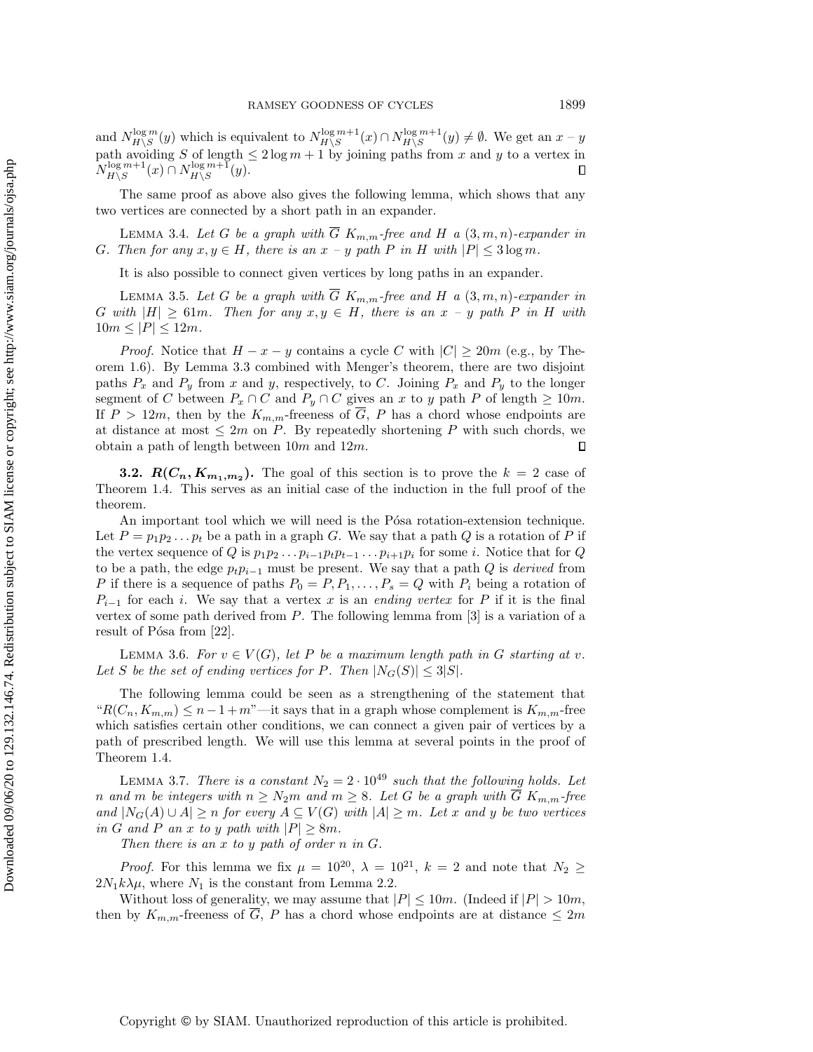and  $N_{H\setminus S}^{\log m}$  $\frac{\log m}{H\setminus S}(y)$  which is equivalent to  $N_{H\setminus S}^{\log m+1}$  $\lim_{H\setminus S}$   $\lim_{H\setminus S}$   $\cap$   $N_{H\setminus S}^{\log m+1}$  $\lim_{H \setminus S} m+1}(y) \neq \emptyset$ . We get an  $x - y$ path avoiding S of length  $\leq 2 \log m + 1$  by joining paths from x and y to a vertex in  $N_{H\setminus S}^{\log m+1}$  $\lim_{H\setminus S} H^{\log m+1}(x) \cap N_{H\setminus S}^{\log m+1}$  $\Box$  $\lim_{H\setminus S}$   $\lim_{y\to S}$   $\lim_{y\to S}$ 

The same proof as above also gives the following lemma, which shows that any two vertices are connected by a short path in an expander.

LEMMA 3.4. Let G be a graph with  $\overline{G}$  K<sub>m,m</sub>-free and H a  $(3, m, n)$ -expander in G. Then for any  $x, y \in H$ , there is an  $x - y$  path P in H with  $|P| \leq 3 \log m$ .

<span id="page-15-4"></span><span id="page-15-3"></span>It is also possible to connect given vertices by long paths in an expander.

LEMMA 3.5. Let G be a graph with  $\overline{G}$  K<sub>m,m</sub>-free and H a  $(3, m, n)$ -expander in G with  $|H| \geq 61m$ . Then for any  $x, y \in H$ , there is an  $x - y$  path P in H with  $10m \leq |P| \leq 12m$ .

*Proof.* Notice that  $H - x - y$  contains a cycle C with  $|C| \geq 20m$  (e.g., by Theorem [1.6\)](#page-2-0). By Lemma [3.3](#page-14-1) combined with Menger's theorem, there are two disjoint paths  $P_x$  and  $P_y$  from x and y, respectively, to C. Joining  $P_x$  and  $P_y$  to the longer segment of C between  $P_x \cap C$  and  $P_y \cap C$  gives an x to y path P of length  $\geq 10m$ . If  $P > 12m$ , then by the  $K_{m,m}$ -freeness of  $\overline{G}$ , P has a chord whose endpoints are at distance at most  $\leq 2m$  on P. By repeatedly shortening P with such chords, we obtain a path of length between  $10m$  and  $12m$ .  $\Box$ 

<span id="page-15-1"></span>**3.2.**  $\mathbf{R} (\mathbf{C}_n, \mathbf{K}_{m_1, m_2})$ . The goal of this section is to prove the  $k = 2$  case of Theorem [1.4.](#page-1-2) This serves as an initial case of the induction in the full proof of the theorem.

An important tool which we will need is the Pósa rotation-extension technique. Let  $P = p_1p_2 \ldots p_t$  be a path in a graph G. We say that a path Q is a rotation of P if the vertex sequence of Q is  $p_1p_2 \ldots p_{i-1}p_t p_{t-1} \ldots p_{i+1}p_i$  for some i. Notice that for Q to be a path, the edge  $p_t p_{i-1}$  must be present. We say that a path Q is *derived* from P if there is a sequence of paths  $P_0 = P, P_1, \ldots, P_s = Q$  with  $P_i$  being a rotation of  $P_{i-1}$  for each i. We say that a vertex x is an ending vertex for P if it is the final vertex of some path derived from  $P$ . The following lemma from  $[3]$  is a variation of a result of Pósa from  $[22]$ .

<span id="page-15-2"></span>LEMMA 3.6. For  $v \in V (G)$ , let P be a maximum length path in G starting at v. Let S be the set of ending vertices for P. Then  $|N_G(S)| \leq 3|S|$ .

The following lemma could be seen as a strengthening of the statement that " $R(C_n, K_{m,m}) \leq n - 1 + m$ "--it says that in a graph whose complement is  $K_{m,m}$ -free which satisfies certain other conditions, we can connect a given pair of vertices by a path of prescribed length. We will use this lemma at several points in the proof of Theorem [1.4.](#page-1-2)

<span id="page-15-0"></span>LEMMA 3.7. There is a constant  $N_2 = 2 \cdot 10^{49}$  such that the following holds. Let n and m be integers with  $n \geq N_2m$  and  $m \geq 8$ . Let G be a graph with  $\overline{G}$  K<sub>m,m</sub>-free and  $|N_G(A) \cup A| \geq n$  for every  $A \subseteq V (G)$  with  $|A| \geq m$ . Let x and y be two vertices in G and P an x to y path with  $|P| \geq 8m$ .

Then there is an x to y path of order n in G.

*Proof.* For this lemma we fix  $\mu = 10^{20}$ ,  $\lambda = 10^{21}$ ,  $k = 2$  and note that  $N_2 \geq$  $2N_1k\lambda \mu$ , where  $N_1$  is the constant from Lemma [2.2.](#page-4-1)

Without loss of generality, we may assume that  $|P| \leq 10m$ . (Indeed if  $|P| > 10m$ , then by  $K_{m,m}$ -freeness of  $\overline{G}$ , P has a chord whose endpoints are at distance  $\leq 2m$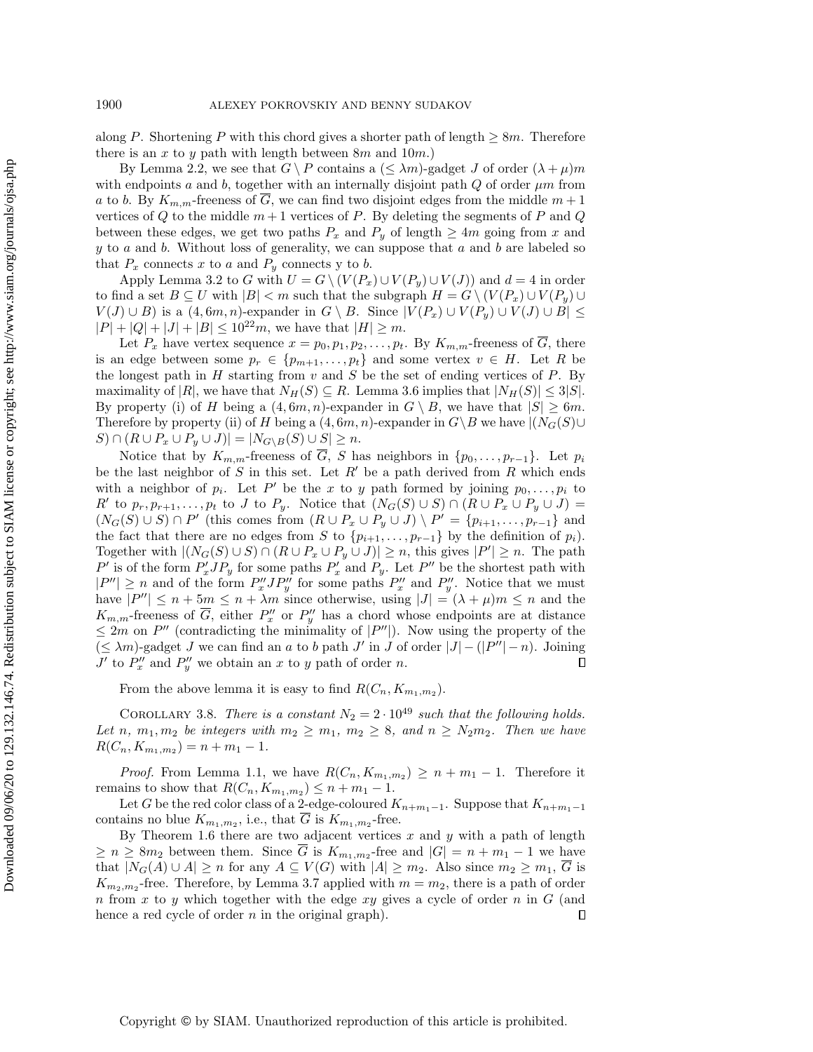along P. Shortening P with this chord gives a shorter path of length  $\geq 8m$ . Therefore there is an  $x$  to  $y$  path with length between  $8m$  and  $10m$ .)

By Lemma [2.2,](#page-4-1) we see that  $G \setminus P$  contains a  $(\leq \lambda m)$ -gadget J of order  $(\lambda + \mu)m$ with endpoints a and b, together with an internally disjoint path  $Q$  of order  $\mu m$  from a to b. By  $K_{m,m}$ -freeness of  $\overline{G}$ , we can find two disjoint edges from the middle  $m+1$ vertices of  $Q$  to the middle  $m + 1$  vertices of  $P$ . By deleting the segments of  $P$  and  $Q$ between these edges, we get two paths  $P_x$  and  $P_y$  of length  $\geq 4m$  going from x and  $y$  to  $a$  and  $b$ . Without loss of generality, we can suppose that  $a$  and  $b$  are labeled so that  $P_x$  connects x to a and  $P_y$  connects y to b.

Apply Lemma [3.2](#page-14-2) to G with  $U = G \setminus (V (P_x) \cup V (P_y) \cup V (J))$  and  $d = 4$  in order to find a set  $B \subseteq U$  with  $|B| < m$  such that the subgraph  $H = G \setminus (V (P_x) \cup V (P_y) \cup V (P_z))$  $V(J) \cup B$ ) is a  $(4, 6m, n)$ -expander in  $G \setminus B$ . Since  $| V (P_x) \cup V (P_y) \cup V (J) \cup B | \leq$  $|P| + |Q| + |J| + |B| \leq 10^{22}m$ , we have that  $|H| \geq m$ .

Let  $P_x$  have vertex sequence  $x = p_0, p_1, p_2, \ldots, p_t$ . By  $K_{m,m}$ -freeness of  $\overline{G}$ , there is an edge between some  $p_r \in \{ p_{m+1}, \ldots, p_t\}$  and some vertex  $v \in H$ . Let R be the longest path in  $H$  starting from  $v$  and  $S$  be the set of ending vertices of  $P$ . By maximality of  $|R|$ , we have that  $N_H(S) \subseteq R$ . Lemma [3.6](#page-15-2) implies that  $|N_H(S)| \leq 3|S|$ . By property (i) of H being a  $(4, 6m, n)$ -expander in  $G \setminus B$ , we have that  $|S| \geq 6m$ . Therefore by property (ii) of H being a  $(4, 6m, n)$ -expander in  $G \setminus B$  we have  $| (N_G(S) \cup$  $S \cap (R \cup P_x \cup P_y \cup J)| = |N_{G \setminus B}(S) \cup S| \geq n.$ 

Notice that by  $K_{m,m}$ -freeness of  $\overline{G}$ , S has neighbors in  $\{ p_0, \ldots, p_{r-1} \}$ . Let  $p_i$ be the last neighbor of S in this set. Let  $R'$  be a path derived from R which ends with a neighbor of  $p_i$ . Let P' be the x to y path formed by joining  $p_0, \ldots, p_i$  to  $R'$  to  $p_r, p_{r+1}, \ldots, p_t$  to J to  $P_y$ . Notice that  $(N_G(S) \cup S) \cap (R \cup P_x \cup P_y \cup J) =$  $(N_G(S) \cup S) \cap P'$  (this comes from  $(R \cup P_x \cup P_y \cup J) \setminus P' = \{ p_{i+1}, \ldots, p_{r-1} \}$  and the fact that there are no edges from S to  $\{ p_{i+1}, \ldots, p_{r-1}\}$  by the definition of  $p_i$ ). Together with  $|(N_G(S) \cup S) \cap (R \cup P_x \cup P_y \cup J)| \geq n$ , this gives  $|P'| \geq n$ . The path  $P'$  is of the form  $P'_xJP_y$  for some paths  $P'_x$  and  $P_y$ . Let  $P''$  be the shortest path with  $|P''| \geq n$  and of the form  $P''_{x}JP''_{y}$  for some paths  $P''_{x}$  and  $P''_{y}$ . Notice that we must have  $|P''| \leq n + 5m \leq n + \lambda m$  since otherwise, using  $|J| = (\lambda + \mu)m \leq n$  and the  $K_{m,m}$ -freeness of  $\overline{G}$ , either  $P''_x$  or  $P''_y$  has a chord whose endpoints are at distance  $\leq 2m$  on P'' (contradicting the minimality of  $|P''|$ ). Now using the property of the  $(\leq \lambda m)$ -gadget J we can find an a to b path J' in J of order  $|J| - (|P''| - n)$ . Joining  $J'$  to  $P''_x$  and  $P''_y$  we obtain an x to y path of order n.  $\Box$ 

<span id="page-16-0"></span>From the above lemma it is easy to find  $R(C_n, K_{m_1,m_2})$ .

COROLLARY 3.8. There is a constant  $N_2 = 2 \cdot 10^{49}$  such that the following holds. Let n,  $m_1, m_2$  be integers with  $m_2 \geq m_1, m_2 \geq 8$ , and  $n \geq N_2m_2$ . Then we have  $R(C_n, K_{m_1,m_2}) = n + m_1 - 1.$ 

*Proof.* From Lemma [1.1,](#page-1-0) we have  $R(C_n, K_{m_1,m_2}) \geq n + m_1 - 1$ . Therefore it remains to show that  $R(C_n, K_{m_1,m_2}) \leq n + m_1 - 1$ .

Let G be the red color class of a 2-edge-coloured  $K_{n+m_1-1}$ . Suppose that  $K_{n+m_1-1}$ contains no blue  $K_{m_1,m_2}$ , i.e., that G is  $K_{m_1,m_2}$ -free.

By Theorem [1.6](#page-2-0) there are two adjacent vertices x and y with a path of length  $\geq n \geq 8m_2$  between them. Since G is  $K_{m_1,m_2}$ -free and  $|G| = n + m_1 - 1$  we have that  $|N_G(A) \cup A| \geq n$  for any  $A \subseteq V (G)$  with  $|A| \geq m_2$ . Also since  $m_2 \geq m_1, \overline{G}$  is  $K_{m_2,m_2}$ -free. Therefore, by Lemma [3.7](#page-15-0) applied with  $m = m_2$ , there is a path of order n from x to y which together with the edge xy gives a cycle of order n in  $G$  (and hence a red cycle of order  $n$  in the original graph).  $\Box$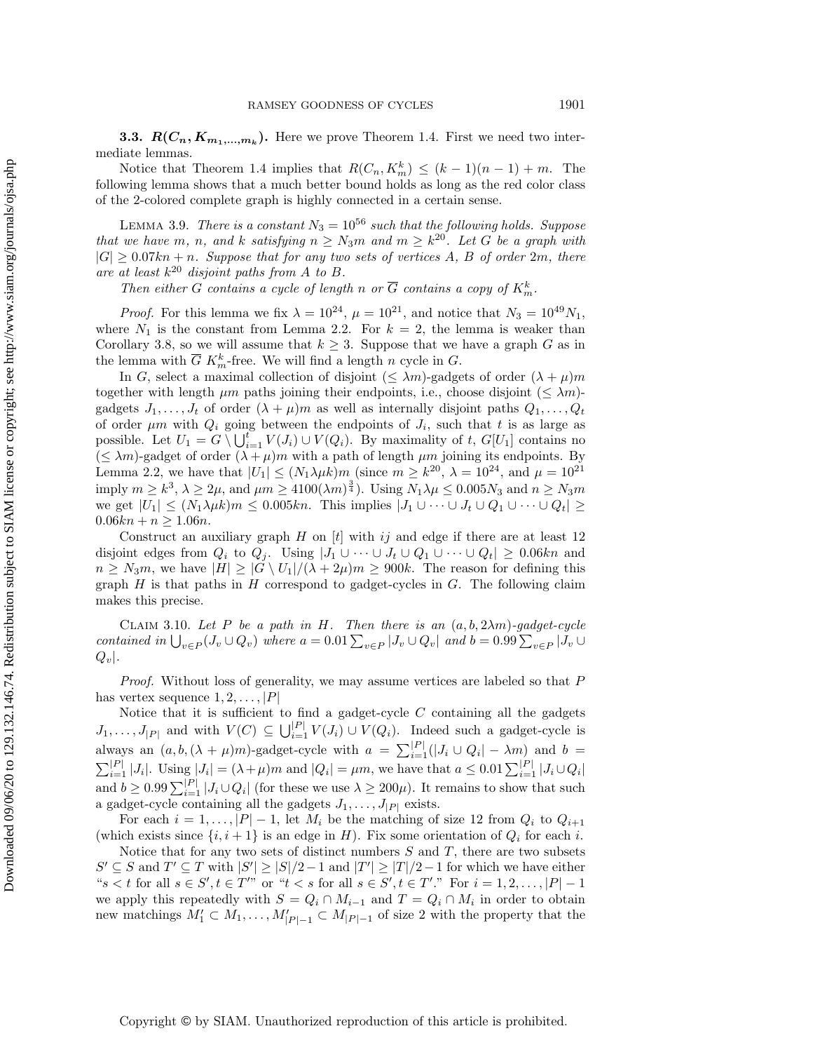<span id="page-17-1"></span>**3.3.**  $\mathbf{R}(C_n, K_{m_1,...,m_k})$ . Here we prove Theorem [1.4.](#page-1-2) First we need two intermediate lemmas.

Notice that Theorem [1.4](#page-1-2) implies that  $R(C_n, K_m^k) \leq (k - 1)(n - 1) + m$ . The following lemma shows that a much better bound holds as long as the red color class of the 2-colored complete graph is highly connected in a certain sense.

LEMMA 3.9. There is a constant  $N_3 = 10^{56}$  such that the following holds. Suppose that we have m, n, and k satisfying  $n \geq N_3$ m and  $m \geq k^{20}$ . Let G be a graph with  $|G| \geq 0.07kn + n$ . Suppose that for any two sets of vertices A, B of order 2m, there are at least  $k^{20}$  disjoint paths from A to B.

<span id="page-17-0"></span>Then either G contains a cycle of length n or  $\overline{G}$  contains a copy of  $K_m^k$ .

*Proof.* For this lemma we fix  $\lambda = 10^{24}$ ,  $\mu = 10^{21}$ , and notice that  $N_3 = 10^{49} N_1$ , where  $N_1$  is the constant from Lemma [2.2.](#page-4-1) For  $k = 2$ , the lemma is weaker than Corollary [3.8,](#page-16-0) so we will assume that  $k \geq 3$ . Suppose that we have a graph G as in the lemma with  $\overline{G} K_m^k$ -free. We will find a length n cycle in  $G$ .

In G, select a maximal collection of disjoint ( $\leq \lambda m$ )-gadgets of order  $(\lambda + \mu)m$ together with length  $\mu m$  paths joining their endpoints, i.e., choose disjoint ( $\leq \lambda m$ )gadgets  $J_1, \ldots, J_t$  of order  $(\lambda + \mu)m$  as well as internally disjoint paths  $Q_1, \ldots, Q_t$ of order  $\mu$ m with  $Q_i$  going between the endpoints of  $J_i$ , such that t is as large as possible. Let  $U_1 = G \setminus \bigcup_{i=1}^t V(J_i) \cup V(Q_i)$ . By maximality of t,  $G[U_1]$  contains no  $(\leq \lambda m)$ -gadget of order  $(\lambda + \mu)m$  with a path of length  $\mu m$  joining its endpoints. By Lemma [2.2,](#page-4-1) we have that  $|U_1| \leq (N_1\lambda \mu k)m$  (since  $m \geq k^{20}$ ,  $\lambda = 10^{24}$ , and  $\mu = 10^{21}$ imply  $m \geq k^3$ ,  $\lambda \geq 2\mu$ , and  $\mu m \geq 4100(\lambda m)^{\frac{3}{4}}$ ). Using  $N_1\lambda \mu \leq 0.005N_3$  and  $n \geq N_3m$ we get  $|U_1| \leq (N_1\lambda \mu k)m \leq 0.005kn$ . This implies  $| J_1 \cup \cdots \cup J_t \cup Q_1 \cup \cdots \cup Q_t| \geq$  $0.06kn + n \geq 1.06n$ .

Construct an auxiliary graph H on  $[t]$  with ij and edge if there are at least 12 disjoint edges from  $Q_i$  to  $Q_j$ . Using  $|J_1 \cup \cdots \cup J_t \cup Q_1 \cup \cdots \cup Q_t| \geq 0.06kn$  and  $n \geq N_3m$ , we have  $| H | \geq | G \setminus U_1| / (\lambda + 2\mu )m \geq 900k$ . The reason for defining this graph  $H$  is that paths in  $H$  correspond to gadget-cycles in  $G$ . The following claim makes this precise.

<span id="page-17-2"></span>CLAIM 3.10. Let P be a path in H. Then there is an  $(a, b, 2\lambda m)$ -gadget-cycle contained in  $\bigcup_{v\in P} (J_v \cup Q_v)$  where  $a = 0.01\sum_{v\in P} |J_v \cup Q_v|$  and  $b = 0.99\sum_{v\in P} |J_v \cup Q_v|$  $Q_v$ .

Proof. Without loss of generality, we may assume vertices are labeled so that P has vertex sequence  $1, 2, \ldots, |P|$ 

Notice that it is sufficient to find a gadget-cycle  $C$  containing all the gadgets  $J_1, \ldots, J_{|P|}$  and with  $V(C) \subseteq \bigcup_{i=1}^{|P|} V(J_i) \cup V(Q_i)$ . Indeed such a gadget-cycle is always an  $(a, b, (\lambda + \mu)m)$ -gadget-cycle with  $a = \sum_{i=1}^{|P|} (|J_i \cup Q_i| - \lambda m)$  and  $b =$  $\sum_{i=1}^{|P|} |J_i|$ . Using  $|J_i| = (\lambda + \mu)m$  and  $|Q_i| = \mu m$ , we have that  $a \leq 0.01\sum_{i=1}^{|P|} |J_i \cup Q_i|$ and  $b \geq 0.99\sum_{i=1}^{|P|} |J_i \cup Q_i|$  (for these we use  $\lambda \geq 200\mu$ ). It remains to show that such a gadget-cycle containing all the gadgets  $J_1, \ldots, J_{|P|}$  exists.

For each  $i = 1, ..., |P| - 1$ , let  $M_i$  be the matching of size 12 from  $Q_i$  to  $Q_{i+1}$ (which exists since  $\{i, i + 1\}$  is an edge in H). Fix some orientation of  $Q_i$  for each i.

Notice that for any two sets of distinct numbers  $S$  and  $T$ , there are two subsets  $S' \subseteq S$  and  $T' \subseteq T$  with  $|S'| \geq |S| / 2 - 1$  and  $|T'| \geq |T| / 2 - 1$  for which we have either " $s < t$  for all  $s \in S', t \in T''$  or " $t < s$  for all  $s \in S', t \in T'$ ." For  $i = 1, 2, \ldots, |P| - 1$ we apply this repeatedly with  $S = Q_i \cap M_{i-1}$  and  $T = Q_i \cap M_i$  in order to obtain new matchings  $M'_1 \subset M_1, \ldots, M'_{|P|-1} \subset M_{|P|-1}$  of size 2 with the property that the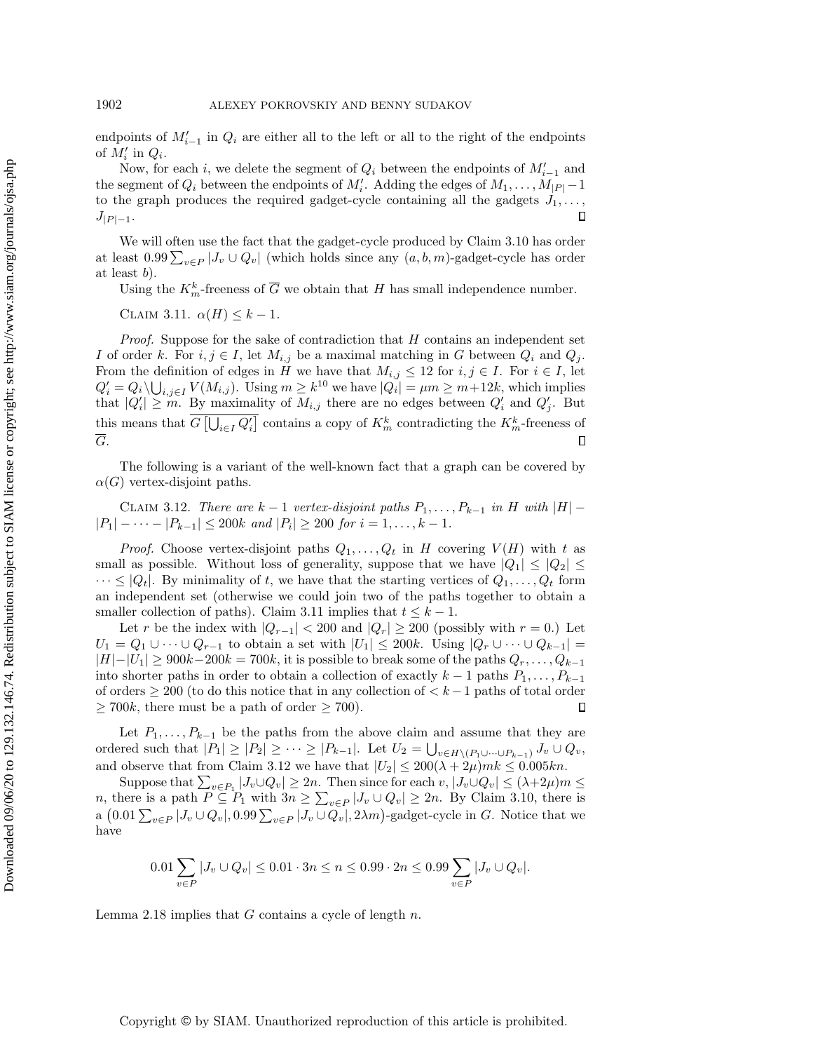endpoints of  $M'_{i-1}$  in  $Q_i$  are either all to the left or all to the right of the endpoints of  $M_i'$  in  $Q_i$ .

Now, for each *i*, we delete the segment of  $Q_i$  between the endpoints of  $M_{i-1}'$  and the segment of  $Q_i$  between the endpoints of  $M_i'$ . Adding the edges of  $M_1, \ldots, M_{|P|}-1$ to the graph produces the required gadget-cycle containing all the gadgets  $J_1, \ldots,$  $\Box$  $J_{|P|-1}.$ 

We will often use the fact that the gadget-cycle produced by Claim [3.10](#page-17-2) has order at least  $0.99 \sum_{v \in P} |J_v \cup Q_v|$  (which holds since any  $(a, b, m)$ -gadget-cycle has order at least b).

<span id="page-18-0"></span>Using the  $K_m^k$ -freeness of  $\overline{G}$  we obtain that H has small independence number.

CLAIM 3.11.  $\alpha (H) \leq k - 1$ .

*Proof.* Suppose for the sake of contradiction that  $H$  contains an independent set I of order k. For  $i, j \in I$ , let  $M_{i,j}$  be a maximal matching in G between  $Q_i$  and  $Q_j$ . From the definition of edges in H we have that  $M_{i,j} \leq 12$  for  $i, j \in I$ . For  $i \in I$ , let  $Q_i' = Q_i \setminus \bigcup_{i,j \in I} V(M_{i,j}).$  Using  $m \geq k^{10}$  we have  $|Q_i| = \mu m \geq m+12k$ , which implies that  $|Q_i'|\geq m$ . By maximality of  $M_{i,j}$  there are no edges between  $Q_i'$  and  $Q_j'$ . But this means that  $G\left[ \bigcup_{i\in I} Q_i' \right]$  contains a copy of  $K_m^k$  contradicting the  $K_m^k$ -freeness of G.  $\Box$ 

<span id="page-18-1"></span>The following is a variant of the well-known fact that a graph can be covered by  $\alpha(G)$  vertex-disjoint paths.

CLAIM 3.12. There are  $k-1$  vertex-disjoint paths  $P_1, \ldots, P_{k-1}$  in H with  $|H|$  - $|P_1| - \cdots - |P_{k-1}| \leq 200k$  and  $|P_i| \geq 200$  for  $i = 1, \ldots, k - 1$ .

*Proof.* Choose vertex-disjoint paths  $Q_1, \ldots, Q_t$  in H covering  $V(H)$  with t as small as possible. Without loss of generality, suppose that we have  $|Q_1| \leq |Q_2| \leq$  $\cdots \leq |Q_t|$ . By minimality of t, we have that the starting vertices of  $Q_1, \ldots, Q_t$  form an independent set (otherwise we could join two of the paths together to obtain a smaller collection of paths). Claim [3.11](#page-18-0) implies that  $t \leq k - 1$ .

Let r be the index with  $|Q_{r-1}| < 200$  and  $|Q_r| \geq 200$  (possibly with  $r = 0$ .) Let  $U_1 = Q_1 \cup \cdots \cup Q_{r-1}$  to obtain a set with  $| U_1 | \leq 200k$ . Using  $| Q_r \cup \cdots \cup Q_{k-1} | =$  $|H| - |U_1| \geq 900k - 200k = 700k$ , it is possible to break some of the paths  $Q_r, \ldots, Q_{k-1}$ into shorter paths in order to obtain a collection of exactly  $k-1$  paths  $P_1, \ldots, P_{k-1}$ of orders  $\geq 200$  (to do this notice that in any collection of  $\lt k - 1$  paths of total order  $\geq 700k$ , there must be a path of order  $\geq 700$ .  $\Box$ 

Let  $P_1, \ldots, P_{k-1}$  be the paths from the above claim and assume that they are ordered such that  $|P_1| \geq |P_2| \geq \cdots \geq |P_{k-1}|$ . Let  $U_2 = \bigcup_{v \in H \setminus (P_1 \cup \cdots \cup P_{k-1})} J_v \cup Q_v$ , and observe that from Claim [3.12](#page-18-1) we have that  $|U_2| \leq 200(\lambda + 2\mu)mk \leq 0.005kn$ .

Suppose that  $\sum_{v\in P_1} |J_v\cup Q_v| \geq 2n$ . Then since for each  $v, |J_v\cup Q_v| \leq (\lambda + 2\mu)m \leq$ *n*, there is a path  $P \subseteq P_1$  with  $3n \geq \sum_{v \in P} |J_v \cup Q_v| \geq 2n$ . By Claim [3.10,](#page-17-2) there is a  $(0.01\sum_{v\in P} |J_v \cup Q_v|, 0.99\sum_{v\in P} |J_v \cup Q_v|, 2\lambda m)$ -gadget-cycle in G. Notice that we have

$$
0.01\sum_{v\in P}|J_v\cup Q_v|\leq 0.01\cdot 3n\leq n\leq 0.99\cdot 2n\leq 0.99\sum_{v\in P}|J_v\cup Q_v|.
$$

Lemma [2.18](#page-13-1) implies that  $G$  contains a cycle of length  $n$ .

Copyright © by SIAM. Unauthorized reproduction of this article is prohibited.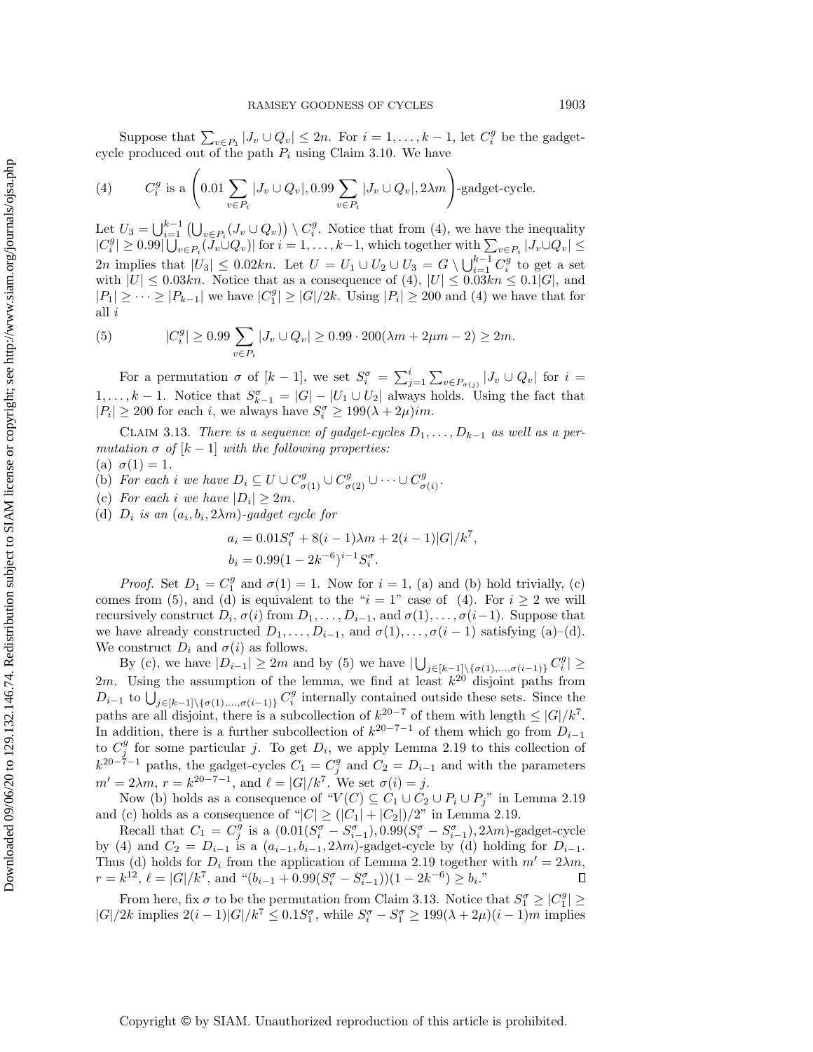Suppose that  $\sum_{v \in P_1} |J_v \cup Q_v| \leq 2n$ . For  $i = 1, ..., k - 1$ , let  $C_i^g$  be the gadgetcycle produced out of the path  $P_i$  using Claim [3.10.](#page-17-2) We have

<span id="page-19-0"></span>(4) 
$$
C_i^g \text{ is a } \left(0.01 \sum_{v \in P_i} |J_v \cup Q_v|, 0.99 \sum_{v \in P_i} |J_v \cup Q_v|, 2\lambda m\right) \text{-gadget-cycle.}
$$

Let  $U_3 = \bigcup_{i=1}^{k-1} \left( \bigcup_{v \in P_i} (J_v \cup Q_v) \right) \setminus C_i^g$ . Notice that from [\(4\)](#page-19-0), we have the inequality  $|C_i^g| \geq 0.99 \left| \bigcup_{v \in P_i} (\overline{J_v} \cup Q_v) \right|$  for  $i = 1, \ldots, k-1$ , which together with  $\sum_{v \in P_i} |J_v \cup Q_v| \leq$ 2n implies that  $|U_3| \leq 0.02kn$ . Let  $U = U_1 \cup U_2 \cup U_3 = G \setminus \bigcup_{i=1}^{k-1} C_i^g$  to get a set with  $|U| \leq 0.03kn$ . Notice that as a consequence of [\(4\)](#page-19-0),  $|U| \leq 0.03kn \leq 0.1|G|$ , and  $|P_1| \geq \cdots \geq |P_{k-1}|$  we have  $|C_1^g| \geq |G|/2k$ . Using  $|P_i| \geq 200$  and [\(4\)](#page-19-0) we have that for all i

<span id="page-19-1"></span>(5) 
$$
|C_i^g| \ge 0.99 \sum_{v \in P_i} |J_v \cup Q_v| \ge 0.99 \cdot 200(\lambda m + 2\mu m - 2) \ge 2m.
$$

For a permutation  $\sigma$  of  $[k - 1]$ , we set  $S_i^{\sigma} = \sum_{j=1}^i \sum_{v \in P_{\sigma(j)}} |J_v \cup Q_v|$  for  $i =$  $1, \ldots, k-1$ . Notice that  $S_{k-1}^{\sigma} = |G| - |U_1 \cup U_2|$  always holds. Using the fact that  $|P_i| \geq 200$  for each i, we always have  $S_i^{\sigma} \geq 199(\lambda + 2\mu)$ im.

CLAIM 3.13. There is a sequence of gadget-cycles  $D_1, \ldots, D_{k-1}$  as well as a permutation  $\sigma$  of  $[k - 1]$  with the following properties:

(a) 
$$
\sigma(1) = 1
$$
.

- (b) For each i we have  $D_i \subseteq U \cup C^g_{\sigma(1)} \cup C^g_{\sigma(2)} \cup \cdots \cup C^g_{\sigma(n)}$  $_{\sigma (i)}^{g}$  .
- (c) For each i we have  $|D_i| \geq 2m$ .
- (d)  $D_i$  is an  $(a_i, b_i, 2\lambda m)$ -gadget cycle for

<span id="page-19-2"></span>
$$
a_i = 0.01S_i^{\sigma} + 8(i - 1)\lambda m + 2(i - 1)|G|/k^7,
$$
  
\n
$$
b_i = 0.99(1 - 2k^{-6})^{i-1}S_i^{\sigma}.
$$

*Proof.* Set  $D_1 = C_1^g$  and  $\sigma(1) = 1$ . Now for  $i = 1$ , (a) and (b) hold trivially, (c) comes from [\(5\)](#page-19-1), and (d) is equivalent to the " $i = 1$ " case of [\(4\)](#page-19-0). For  $i \geq 2$  we will recursively construct  $D_i, \sigma(i)$  from  $D_1, \ldots, D_{i-1}$ , and  $\sigma(1), \ldots, \sigma(i-1)$ . Suppose that we have already constructed  $D_1, \ldots, D_{i-1}$ , and  $\sigma (1), \ldots, \sigma (i - 1)$  satisfying (a)-(d). We construct  $D_i$  and  $\sigma (i)$  as follows.

By (c), we have  $|D_{i-1}| \geq 2m$  and by [\(5\)](#page-19-1) we have  $|\bigcup_{j\in [k-1]\setminus \{\sigma(1),\ldots,\sigma(i-1)\}} C_i^g| \geq$ 2m. Using the assumption of the lemma, we find at least  $k^{20}$  disjoint paths from  $D_{i-1}$  to  $\bigcup_{j\in [k-1]\setminus \{\sigma (1),...,\sigma (i-1)\}} C_i^g$  internally contained outside these sets. Since the paths are all disjoint, there is a subcollection of  $k^{20-7}$  of them with length  $\leq |G| / k^7$ . In addition, there is a further subcollection of  $k^{20-7-1}$  of them which go from  $D_{i-1}$ to  $C_j^g$  for some particular j. To get  $D_i$ , we apply Lemma [2.19](#page-13-2) to this collection of  $k^{20-\tilde{7}-1}$  paths, the gadget-cycles  $C_1 = C_j^g$  and  $C_2 = D_{i-1}$  and with the parameters  $m' = 2\lambda m, r = k^{20-7-1}$ , and  $\ell = |G| / k^7$ . We set  $\sigma(i) = j$ .

Now (b) holds as a consequence of " $V (C) \subseteq C_1 \cup C_2 \cup P_i \cup P_j$ " in Lemma [2.19](#page-13-2) and (c) holds as a consequence of " $|C| \geq (|C_1| + |C_2|)/2$ " in Lemma [2.19.](#page-13-2)

Recall that  $C_1 = C_j^{\overline{g}}$  is a  $(0.01(S_i^{\sigma} - S_{i-1}^{\sigma}), 0.99(S_i^{\sigma} - S_{i-1}^{\sigma}), 2\lambda m)$ -gadget-cycle by [\(4\)](#page-19-0) and  $C_2 = D_{i-1}$  is a  $(a_{i-1}, b_{i-1}, 2\lambda m)$ -gadget-cycle by (d) holding for  $D_{i-1}$ . Thus (d) holds for  $D_i$  from the application of Lemma [2.19](#page-13-2) together with  $m' = 2\lambda m$ ,  $r = k^{12}, \ell = |G| / k^{7}$ , and " $(b_{i-1} + 0.99(S_i^{\sigma} - S_{i-1}^{\sigma})) (1 - 2k^{-6}) \geq b_i$ ."  $\Box$ 

From here, fix  $\sigma$  to be the permutation from Claim [3.13.](#page-19-2) Notice that  $S_1^{\sigma} \geq |C_1^g| \geq$  $|G|/2k$  implies  $2(i-1)|G|/k^7 \leq 0.1S_1^{\sigma}$ , while  $S_i^{\sigma} - S_1^{\sigma} \geq 199(\lambda + 2\mu)(i - 1)m$  implies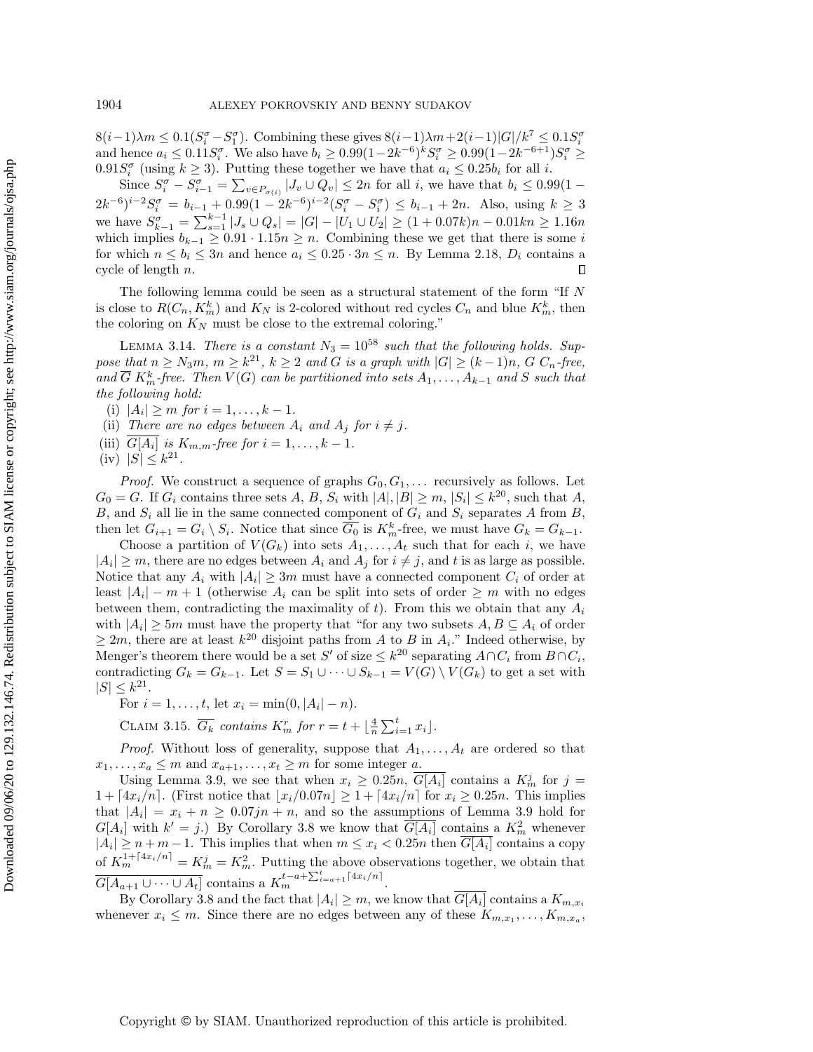$8(i-1)\lambda m \leq 0.1(S_i^{\sigma} - S_1^{\sigma})$ . Combining these gives  $8(i-1)\lambda m+2(i-1)|G| /k^7 \leq 0.1S_i^{\sigma}$ and hence  $a_i \leq 0.11 S_i^{\sigma}$ . We also have  $b_i \geq 0.99(1 - 2k^{-6})^k S_i^{\sigma} \geq 0.99(1 - 2k^{-6+1}) S_i^{\sigma} \geq$  $0.91S_i^{\sigma}$  (using  $k \geq 3$ ). Putting these together we have that  $a_i \leq 0.25b_i$  for all i.

Since  $S_i^{\sigma} - S_{i-1}^{\sigma} = \sum_{v \in P_{\sigma(i)}} |J_v \cup Q_v| \leq 2n$  for all i, we have that  $b_i \leq 0.99(1 (2k^{-6})^{i-2}S_i^{\sigma} = b_{i-1} + 0.99(1 - 2k^{-6})^{i-2}(S_i^{\sigma} - S_i^{\sigma}) \leq b_{i-1} + 2n$ . Also, using  $k \geq 3$ we have  $S_{k-1}^{\sigma} = \sum_{s=1}^{k-1} |J_s \cup Q_s| = |G| - |U_1 \cup U_2| \geq (1 + 0.07k)n - 0.01kn \geq 1.16n$ which implies  $b_{k-1} \geq 0.91 \cdot 1.15n \geq n$ . Combining these we get that there is some i for which  $n \leq b_i \leq 3n$  and hence  $a_i \leq 0.25 \cdot 3n \leq n$ . By Lemma [2.18,](#page-13-1)  $D_i$  contains a cycle of length n. П

The following lemma could be seen as a structural statement of the form "If  $N$ is close to  $R(C_n, K_m^k)$  and  $K_N$  is 2-colored without red cycles  $C_n$  and blue  $K_m^k$ , then the coloring on  $K_N$  must be close to the extremal coloring."

<span id="page-20-0"></span>LEMMA 3.14. There is a constant  $N_3 = 10^{58}$  such that the following holds. Suppose that  $n \geq N_3m$ ,  $m \geq k^{21}$ ,  $k \geq 2$  and G is a graph with  $|G| \geq (k - 1)n$ , G  $C_n$ -free, and  $\overline{G} K_m^k$ -free. Then  $V(G)$  can be partitioned into sets  $A_1, \ldots, A_{k-1}$  and S such that the following hold:

(i)  $|A_i| \geq m$  for  $i = 1, ..., k - 1$ .

(ii) There are no edges between  $A_i$  and  $A_j$  for  $i \neq j$ .

- (iii)  $G[A_i]$  is  $K_{m,m}$ -free for  $i = 1, \ldots, k 1$ .
- (iv)  $|S| \leq k^{21}$ .

*Proof.* We construct a sequence of graphs  $G_0, G_1, \ldots$  recursively as follows. Let  $G_0 = G$ . If  $G_i$  contains three sets  $A, B, S_i$  with  $|A|, |B| \geq m, |S_i| \leq k^{20}$ , such that  $A$ , B, and  $S_i$  all lie in the same connected component of  $G_i$  and  $S_i$  separates A from B, then let  $G_{i+1} = G_i \setminus S_i$ . Notice that since  $\overline{G_0}$  is  $K_m^k$ -free, we must have  $G_k = G_{k-1}$ .

Choose a partition of  $V(G_k)$  into sets  $A_1, \ldots, A_t$  such that for each i, we have  $|A_i| \geq m$ , there are no edges between  $A_i$  and  $A_j$  for  $i \neq j$ , and t is as large as possible. Notice that any  $A_i$  with  $|A_i| \geq 3m$  must have a connected component  $C_i$  of order at least  $|A_i| - m + 1$  (otherwise  $A_i$  can be split into sets of order  $\geq m$  with no edges between them, contradicting the maximality of t). From this we obtain that any  $A_i$ with  $|A_i| \geq 5m$  must have the property that "for any two subsets  $A, B \subseteq A_i$  of order  $\geq 2m$ , there are at least  $k^{20}$  disjoint paths from A to B in  $A_i$ ." Indeed otherwise, by Menger's theorem there would be a set S' of size  $\leq k^{20}$  separating  $A\cap C_i$  from  $B\cap C_i$ , contradicting  $G_k = G_{k-1}$ . Let  $S = S_1 \cup \cdots \cup S_{k-1} = V (G) \setminus V (G_k)$  to get a set with  $|S| \leq k^{21}$ .

For  $i = 1, ..., t$ , let  $x_i = \min(0, |A_i| - n)$ .

<span id="page-20-1"></span>CLAIM 3.15.  $\overline{G_k}$  contains  $K_m^r$  for  $r = t + \lfloor \frac{4}{n} \sum_{i=1}^t x_i \rfloor$ .

*Proof.* Without loss of generality, suppose that  $A_1, \ldots, A_t$  are ordered so that  $x_1, \ldots, x_a \leq m$  and  $x_{a+1}, \ldots, x_t \geq m$  for some integer a.

Using Lemma [3.9,](#page-17-0) we see that when  $x_i \geq 0.25n$ ,  $\overline{G[A_i]}$  contains a  $K_m^j$  for  $j =$  $1 + \left[4x_i/n\right]$ . (First notice that  $\left\lfloor x_i/0.07n\right\rfloor \geq 1 + \left[4x_i/n\right]$  for  $x_i \geq 0.25n$ . This implies that  $|A_i| = x_i + n \geq 0.07jn + n$ , and so the assumptions of Lemma [3.9](#page-17-0) hold for  $G[A_i]$  with  $k' = j$ .) By Corollary [3.8](#page-16-0) we know that  $\overline{G[A_i]}$  contains a  $K_m^2$  whenever  $|A_i| \geq n + m - 1$ . This implies that when  $m \leq x_i < 0.25n$  then  $G[A_i]$  contains a copy of  $K_m^{1+\lceil 4x_i/n \rceil} = K_m^j = K_m^2$ . Putting the above observations together, we obtain that  $\overline{G[A_{a+1} \cup \cdots \cup A_t]}$  contains a  $K_m^{t-a+\sum_{i=a+1}^t \lceil 4x_i/n \rceil}$ .

By Corollary [3.8](#page-16-0) and the fact that  $|A_i| \geq m$ , we know that  $G[A_i]$  contains a  $K_{m,x_i}$ whenever  $x_i \leq m$ . Since there are no edges between any of these  $K_{m,x_1}, \ldots, K_{m,x_n}$ ,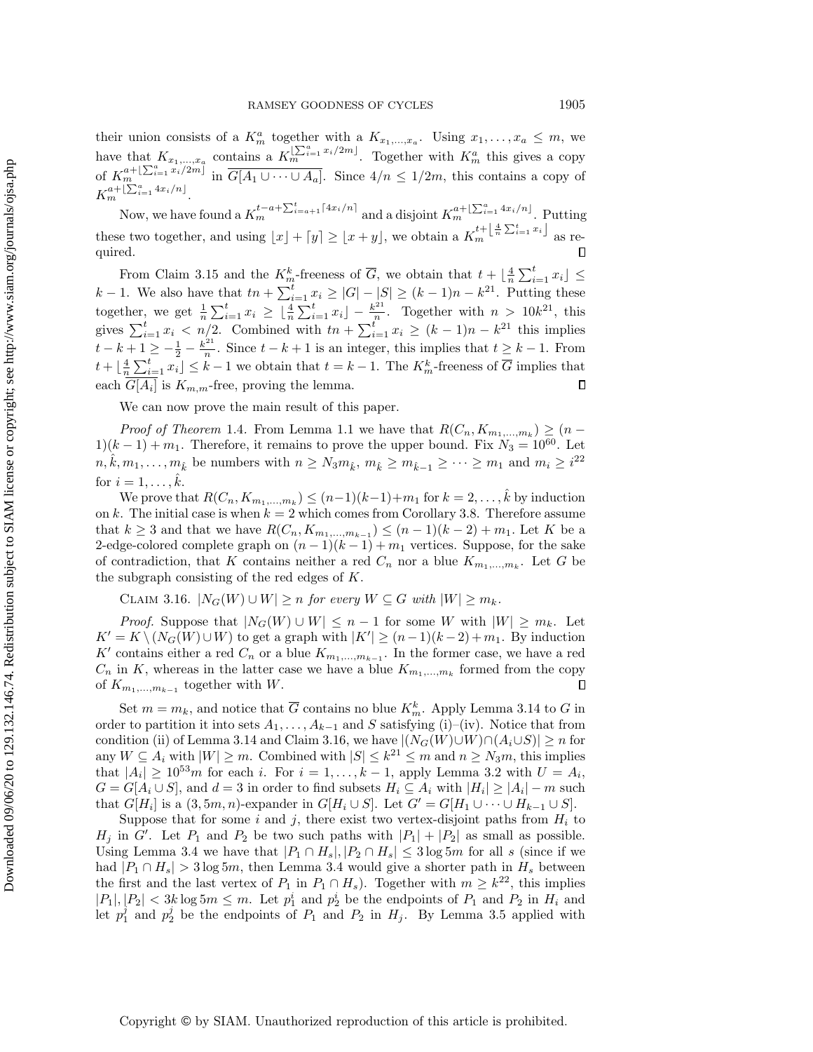their union consists of a  $K_m^a$  together with a  $K_{x_1,...,x_a}$ . Using  $x_1,...,x_a \leq m$ , we have that  $K_{x_1,...,x_a}$  contains a  $K_m^{[\sum_{i=1}^a x_i/2m]}$ . Together with  $K_m^a$  this gives a copy of  $K_m^{a+\lfloor \sum_{i=1}^a x_i/2m\rfloor}$  in  $\overline{G[A_1 \cup \cdots \cup A_a]}$ . Since  $4/n \leq 1/2m$ , this contains a copy of  $K_m^{a+\lfloor\sum_{i=1}^a 4x_i/n\rfloor}.$ 

Now, we have found a  $K_m^{t-a+\sum_{i=a+1}^{t}[4x_i/n]}$  and a disjoint  $K_m^{a+\lfloor \sum_{i=1}^a 4x_i/n \rfloor}$ . Putting these two together, and using  $\lfloor x\rfloor + \lceil y\rceil \geq \lfloor x + y\rfloor$ , we obtain a  $K_m^{t+\lfloor \frac{4}{n}\sum_{i=1}^t x_i\rfloor}$  as re- $\Box$ quired.

From Claim [3.15](#page-20-1) and the  $K_m^k$ -freeness of  $\overline{G}$ , we obtain that  $t + \lfloor \frac{4}{n} \sum_{i=1}^t x_i \rfloor \leq$ From Claim 3.15 and the  $K_m$ -freeness of G, we obtain that  $i + \lfloor n \rfloor \leq i=1, x_1 \leq k-1$ . We also have that  $tn + \sum_{i=1}^t x_i \geq |G| - |S| \geq (k-1)n - k^{21}$ . Putting these together, we get  $\frac{1}{n} \sum_{i=1}^t x_i \geq \left\lfloor \frac{4}{n} \sum_{i=1}^t x_i \right\rfloor - \frac{k^{21}}{n}$  $\frac{n^{21}}{n}$ . Together with  $n > 10k^{21}$ , this gives  $\sum_{i=1}^t x_i < n/2$ . Combined with  $tn + \sum_{i=1}^t x_i \geq (k - 1)n - k^{21}$  this implies  $t - k + 1 \geq -\frac{1}{2} - \frac{k^{21}}{n}$  $\frac{e^{2t}}{n}$ . Since  $t - k + 1$  is an integer, this implies that  $t \geq k - 1$ . From  $t + \lfloor \frac{4}{n} \sum_{i=1}^t x_i \rfloor \leq k - 1$  we obtain that  $t = k - 1$ . The  $K_m^k$ -freeness of  $\overline{G}$  implies that each  $G[A_i]$  is  $K_{m,m}$ -free, proving the lemma.  $\Box$ 

We can now prove the main result of this paper.

*Proof of Theorem* [1.4](#page-1-2). From Lemma [1.1](#page-1-0) we have that  $R(C_n, K_{m_1,...,m_k}) \geq (n 1)(k-1) + m_1$ . Therefore, it remains to prove the upper bound. Fix  $N_3 = 10^{60}$ . Let  $n, \hat{k}, m_1, \ldots, m_{\hat{k}}$  be numbers with  $n \geq N_3m_{\hat{k}}, m_{\hat{k}} \geq m_{\hat{k}-1} \geq \cdots \geq m_1$  and  $m_i \geq i^{22}$ for  $i = 1, \ldots, \hat{k}$ .

We prove that  $R(C_n, K_{m_1,...,m_k}) \leq (n-1)(k-1)+m_1$  for  $k = 2, ..., k$  by induction on k. The initial case is when  $k = 2$  which comes from Corollary [3.8.](#page-16-0) Therefore assume that  $k \geq 3$  and that we have  $R(C_n, K_{m_1,...,m_{k-1}}) \leq (n - 1)(k - 2) + m_1$ . Let K be a 2-edge-colored complete graph on  $(n-1)(k-1) + m_1$  vertices. Suppose, for the sake of contradiction, that K contains neither a red  $C_n$  nor a blue  $K_{m_1,...,m_k}$ . Let G be the subgraph consisting of the red edges of K.

<span id="page-21-0"></span>CLAIM 3.16.  $|N_G(W) \cup W| \geq n$  for every  $W \subseteq G$  with  $|W| \geq m_k$ .

*Proof.* Suppose that  $|N_G(W) \cup W| \leq n - 1$  for some W with  $|W| \geq m_k$ . Let  $K' = K \setminus (N_G(W) \cup W)$  to get a graph with  $|K'| \geq (n - 1)(k - 2) + m_1$ . By induction K' contains either a red  $C_n$  or a blue  $K_{m_1,...,m_{k-1}}$ . In the former case, we have a red  $C_n$  in K, whereas in the latter case we have a blue  $K_{m_1,...,m_k}$  formed from the copy of  $K_{m_1,\ldots,m_{k-1}}$  together with W.  $\Box$ 

Set  $m = m_k$ , and notice that  $\overline{G}$  contains no blue  $K_m^k$ . Apply Lemma [3.14](#page-20-0) to  $G$  in order to partition it into sets  $A_1, \ldots, A_{k-1}$  and S satisfying (i)-(iv). Notice that from condition (ii) of Lemma [3.14](#page-20-0) and Claim [3.16,](#page-21-0) we have  $|(N_G(W)\cup W)\cap (A_i\cup S)| \geq n$  for any  $W \subseteq A_i$  with  $|W| \geq m$ . Combined with  $|S| \leq k^{21} \leq m$  and  $n \geq N_3m$ , this implies that  $|A_i| \geq 10^{53}m$  for each i. For  $i = 1, ..., k - 1$ , apply Lemma [3.2](#page-14-2) with  $U = A_i$ ,  $G = G[A_i \cup S]$ , and  $d = 3$  in order to find subsets  $H_i \subseteq A_i$  with  $| H_i | \geq |A_i | - m$  such that  $G[H_i]$  is a  $(3, 5m, n)$ -expander in  $G[H_i \cup S]$ . Let  $G' = G[H_1 \cup \cdots \cup H_{k-1} \cup S]$ .

Suppose that for some i and j, there exist two vertex-disjoint paths from  $H_i$  to  $H_j$  in G'. Let  $P_1$  and  $P_2$  be two such paths with  $|P_1| + |P_2|$  as small as possible. Using Lemma [3.4](#page-15-3) we have that  $|P_1 \cap H_s|, |P_2 \cap H_s| \leq 3 \log 5m$  for all s (since if we had  $|P_1 \cap H_s| > 3 \log 5m$ , then Lemma [3.4](#page-15-3) would give a shorter path in  $H_s$  between the first and the last vertex of  $P_1$  in  $P_1 \cap H_s$ ). Together with  $m \geq k^{22}$ , this implies  $|P_1|, |P_2| < 3k \log 5m \leq m$ . Let  $p_1^i$  and  $p_2^i$  be the endpoints of  $P_1$  and  $P_2$  in  $H_i$  and let  $p_1^j$  and  $p_2^j$  be the endpoints of  $P_1$  and  $P_2$  in  $H_j$ . By Lemma [3.5](#page-15-4) applied with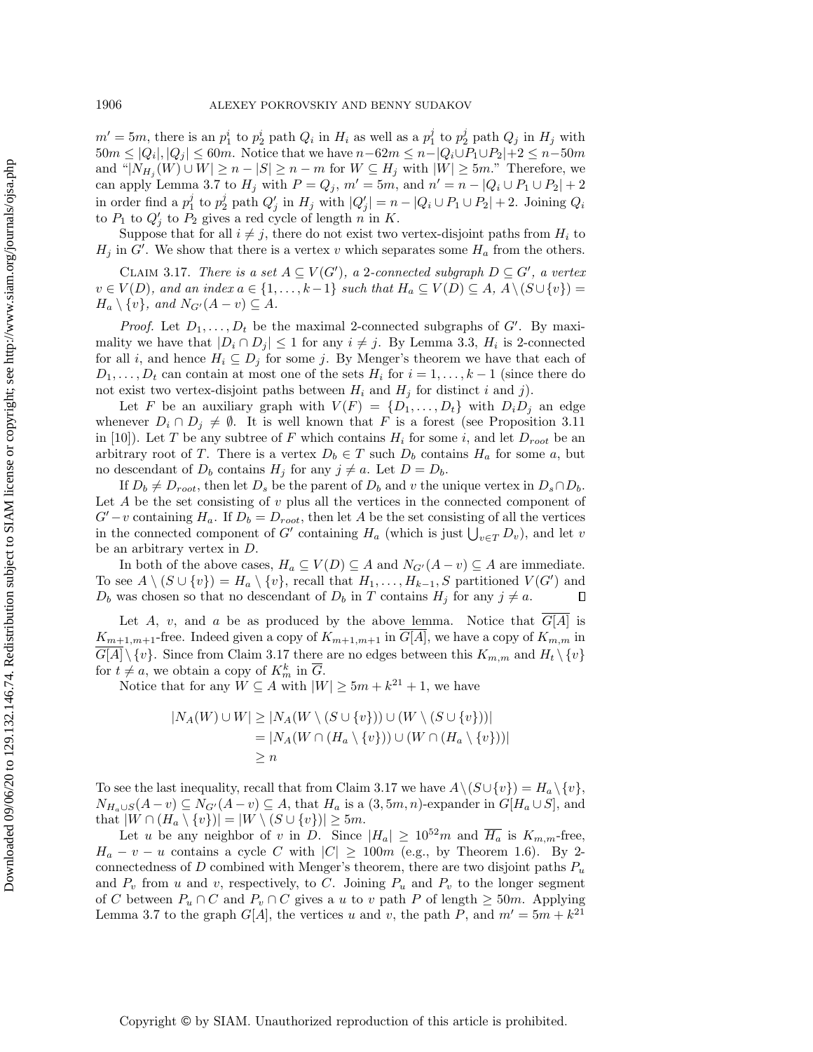$m' = 5m$ , there is an  $p_1^i$  to  $p_2^i$  path  $Q_i$  in  $H_i$  as well as a  $p_1^j$  to  $p_2^j$  path  $Q_j$  in  $H_j$  with  $50m \leq |Q_i|, |Q_j| \leq 60m$ . Notice that we have  $n - 62m \leq n - |Q_i\cup P_1\cup P_2| + 2 \leq n - 50m$ and " $|N_{H_j}(W) \cup W| \geq n - |S| \geq n - m$  for  $W \subseteq H_j$  with  $|W| \geq 5m$ ." Therefore, we can apply Lemma [3.7](#page-15-0) to  $H_j$  with  $P = Q_j$ ,  $m' = 5m$ , and  $n' = n - |Q_i \cup P_1 \cup P_2| + 2$ in order find a  $p_1^j$  to  $p_2^j$  path  $Q'_j$  in  $H_j$  with  $|Q'_j| = n - |Q_i \cup P_1 \cup P_2| + 2$ . Joining  $Q_i$ to  $P_1$  to  $Q'_j$  to  $P_2$  gives a red cycle of length n in K.

Suppose that for all  $i \neq j$ , there do not exist two vertex-disjoint paths from  $H_i$  to  $H_j$  in G'. We show that there is a vertex v which separates some  $H_a$  from the others.

<span id="page-22-0"></span>CLAIM 3.17. There is a set  $A \subseteq V (G^\prime)$ , a 2-connected subgraph  $D \subseteq G^\prime$ , a vertex  $v \in V (D),$  and an index  $a \in \{ 1, \ldots, k - 1\}$  such that  $H_a \subseteq V (D) \subseteq A, A \setminus (S \cup \{ v \} ) =$  $H_a \setminus \{ v\}$ , and  $N_{G'}(A - v) \subseteq A$ .

*Proof.* Let  $D_1, \ldots, D_t$  be the maximal 2-connected subgraphs of G'. By maximality we have that  $|D_i \cap D_j| \leq 1$  for any  $i \neq j$ . By Lemma [3.3,](#page-14-1)  $H_i$  is 2-connected for all i, and hence  $H_i \subseteq D_j$  for some j. By Menger's theorem we have that each of  $D_1, \ldots, D_t$  can contain at most one of the sets  $H_i$  for  $i = 1, \ldots, k - 1$  (since there do not exist two vertex-disjoint paths between  $H_i$  and  $H_j$  for distinct i and j).

Let F be an auxiliary graph with  $V(F) = \{ D_1, \ldots, D_t\}$  with  $D_i D_j$  an edge whenever  $D_i \cap D_j \neq \emptyset$ . It is well known that F is a forest (see Proposition 3.11 in [\[10\]](#page-24-19)). Let T be any subtree of F which contains  $H_i$  for some i, and let  $D_{root}$  be an arbitrary root of T. There is a vertex  $D_b \in T$  such  $D_b$  contains  $H_a$  for some a, but no descendant of  $D_b$  contains  $H_j$  for any  $j \neq a$ . Let  $D = D_b$ .

If  $D_b \neq D_{root}$ , then let  $D_s$  be the parent of  $D_b$  and v the unique vertex in  $D_s \cap D_b$ . Let  $A$  be the set consisting of  $v$  plus all the vertices in the connected component of  $G'-v$  containing  $H_a$ . If  $D_b = D_{root}$ , then let A be the set consisting of all the vertices in the connected component of G' containing  $H_a$  (which is just  $\bigcup_{v\in T} D_v$ ), and let v be an arbitrary vertex in D.

In both of the above cases,  $H_a \subseteq V (D) \subseteq A$  and  $N_{G'}(A - v) \subseteq A$  are immediate. To see  $A \setminus (S \cup \{ v\} ) = H_a \setminus \{ v\}$ , recall that  $H_1, \ldots, H_{k-1}, S$  partitioned  $V (G^\prime)$  and  $D_b$  was chosen so that no descendant of  $D_b$  in T contains  $H_j$  for any  $j \neq a$ .  $\Box$ 

Let A, v, and a be as produced by the above lemma. Notice that  $G[A]$  is  $K_{m+1,m+1}$ -free. Indeed given a copy of  $K_{m+1,m+1}$  in  $\overline{G[A]}$ , we have a copy of  $K_{m,m}$  in  $G[A] \setminus \{ v\}$ . Since from Claim [3.17](#page-22-0) there are no edges between this  $K_{m,m}$  and  $H_t \setminus \{ v\}$ for  $t \neq a$ , we obtain a copy of  $K_m^k$  in  $\overline{G}$ .

Notice that for any  $W \subseteq A$  with  $|W| \geq 5m + k^{21} + 1$ , we have

$$
|N_A(W) \cup W| \ge |N_A(W \setminus (S \cup \{v\})) \cup (W \setminus (S \cup \{v\}))|
$$
  
= |N\_A(W \cap (H\_a \setminus \{v\})) \cup (W \cap (H\_a \setminus \{v\}))|  

$$
\ge n
$$

To see the last inequality, recall that from Claim [3.17](#page-22-0) we have  $A \setminus (S \cup \{ v \}) = H_a \setminus \{ v \},$  $N_{H_a\cup S}(A - v) \subseteq N_{G'}(A - v) \subseteq A$ , that  $H_a$  is a  $(3, 5m, n)$ -expander in  $G[H_a \cup S]$ , and that  $|W \cap (H_a \setminus \{ v\} )| = |W \setminus (S \cup \{ v\} )| \geq 5m.$ 

Let u be any neighbor of v in D. Since  $|H_a| \geq 10^{52}m$  and  $\overline{H_a}$  is  $K_{m,m}$ -free,  $H_a - v - u$  contains a cycle C with  $|C| \geq 100m$  (e.g., by Theorem [1.6\)](#page-2-0). By 2connectedness of  $D$  combined with Menger's theorem, there are two disjoint paths  $P_u$ and  $P_v$  from u and v, respectively, to C. Joining  $P_u$  and  $P_v$  to the longer segment of C between  $P_u \cap C$  and  $P_v \cap C$  gives a u to v path P of length  $\geq 50m$ . Applying Lemma [3.7](#page-15-0) to the graph  $G[A]$ , the vertices u and v, the path P, and  $m' = 5m + k^{21}$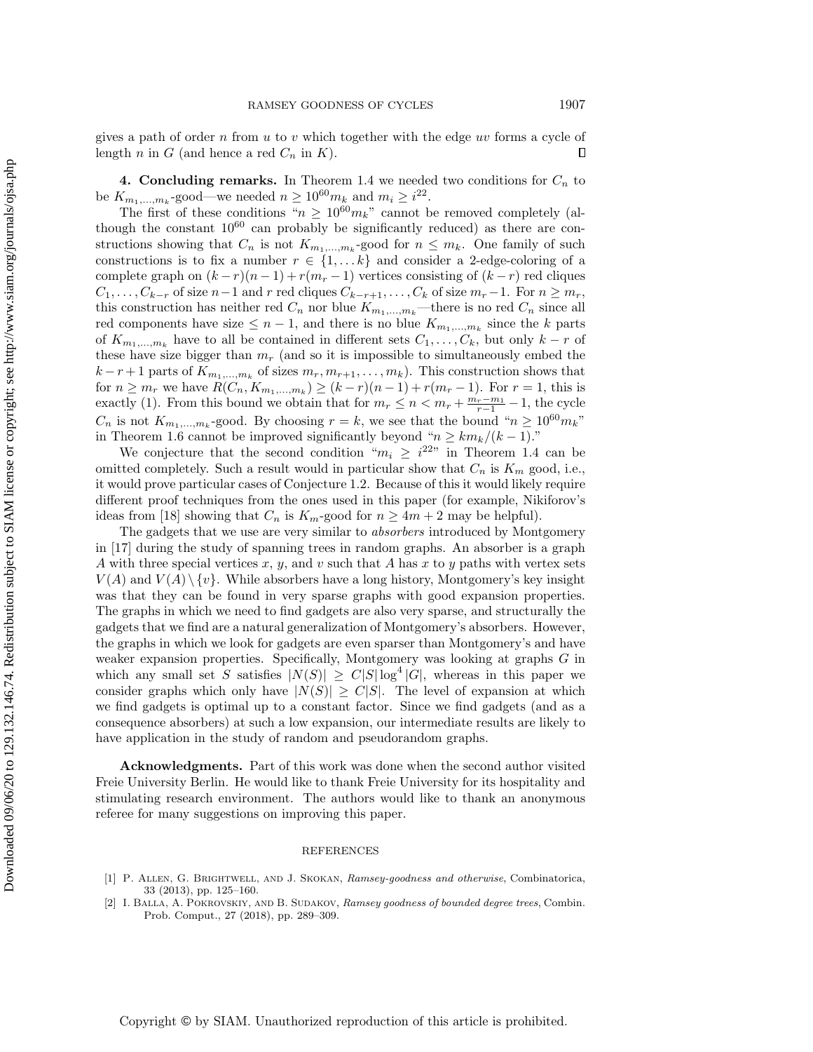gives a path of order n from  $u$  to v which together with the edge  $uv$  forms a cycle of length n in G (and hence a red  $C_n$  in K). Л

**4. Concluding remarks.** In Theorem [1.4](#page-1-2) we needed two conditions for  $C_n$  to be  $K_{m_1,...,m_k}$ -good—we needed  $n \geq 10^{60} m_k$  and  $m_i \geq i^{22}$ .

The first of these conditions " $n \geq 10^{60}m_k$ " cannot be removed completely (although the constant  $10^{60}$  can probably be significantly reduced) as there are constructions showing that  $C_n$  is not  $K_{m_1,...,m_k}$ -good for  $n \leq m_k$ . One family of such constructions is to fix a number  $r \in \{ 1, \ldots k\}$  and consider a 2-edge-coloring of a complete graph on  $(k - r)(n - 1) + r(m_r - 1)$  vertices consisting of  $(k - r)$  red cliques  $C_1, \ldots, C_{k-r}$  of size  $n-1$  and r red cliques  $C_{k-r+1}, \ldots, C_k$  of size  $m_r-1$ . For  $n \geq m_r$ , this construction has neither red  $C_n$  nor blue  $K_{m_1,\dots,m_k}$ —there is no red  $C_n$  since all red components have size  $\leq n - 1$ , and there is no blue  $K_{m_1,...,m_k}$  since the k parts of  $K_{m_1,...,m_k}$  have to all be contained in different sets  $C_1,..., C_k$ , but only  $k-r$  of these have size bigger than  $m_r$  (and so it is impossible to simultaneously embed the  $k-r+1$  parts of  $K_{m_1,...,m_k}$  of sizes  $m_r, m_{r+1},..., m_k$ ). This construction shows that for  $n \geq m_r$  we have  $R(C_n, K_{m_1,...,m_k}) \geq (k - r)(n - 1) + r(m_r - 1)$ . For  $r = 1$ , this is exactly [\(1\)](#page-1-1). From this bound we obtain that for  $m_r \leq n < m_r + \frac{m_r - m_1}{r - 1} - 1$ , the cycle  $C_n$  is not  $K_{m_1,...,m_k}$ -good. By choosing  $r = k$ , we see that the bound " $n \geq 10^{60} m_k$ " in Theorem [1.6](#page-2-0) cannot be improved significantly beyond " $n \geq km_k/(k - 1)$ ."

We conjecture that the second condition " $m_i \geq i^{22}$ " in Theorem [1.4](#page-1-2) can be omitted completely. Such a result would in particular show that  $C_n$  is  $K_m$  good, i.e., it would prove particular cases of Conjecture [1.2.](#page-1-4) Because of this it would likely require different proof techniques from the ones used in this paper (for example, Nikiforov's ideas from [\[18\]](#page-24-7) showing that  $C_n$  is  $K_m$ -good for  $n \geq 4m + 2$  may be helpful).

The gadgets that we use are very similar to absorbers introduced by Montgomery in [\[17\]](#page-24-15) during the study of spanning trees in random graphs. An absorber is a graph A with three special vertices x, y, and v such that A has x to y paths with vertex sets  $V(A)$  and  $V(A) \setminus \{ v\}$ . While absorbers have a long history, Montgomery's key insight was that they can be found in very sparse graphs with good expansion properties. The graphs in which we need to find gadgets are also very sparse, and structurally the gadgets that we find are a natural generalization of Montgomery's absorbers. However, the graphs in which we look for gadgets are even sparser than Montgomery's and have weaker expansion properties. Specifically, Montgomery was looking at graphs G in which any small set S satisfies  $|N(S)| \geq C|S| \log^4 |G|$ , whereas in this paper we consider graphs which only have  $|N(S)| \geq C|S|$ . The level of expansion at which we find gadgets is optimal up to a constant factor. Since we find gadgets (and as a consequence absorbers) at such a low expansion, our intermediate results are likely to have application in the study of random and pseudorandom graphs.

Acknowledgments. Part of this work was done when the second author visited Freie University Berlin. He would like to thank Freie University for its hospitality and stimulating research environment. The authors would like to thank an anonymous referee for many suggestions on improving this paper.

## REFERENCES

<span id="page-23-0"></span><sup>[1]</sup> P. ALLEN, G. BRIGHTWELL, AND J. SKOKAN, Ramsey-goodness and otherwise, Combinatorica, 33 (2013), pp. 125-160.

<span id="page-23-1"></span><sup>[2]</sup> I. BALLA, A. POKROVSKIY, AND B. SUDAKOV, Ramsey goodness of bounded degree trees, Combin. Prob. Comput., 27 (2018), pp. 289-309.